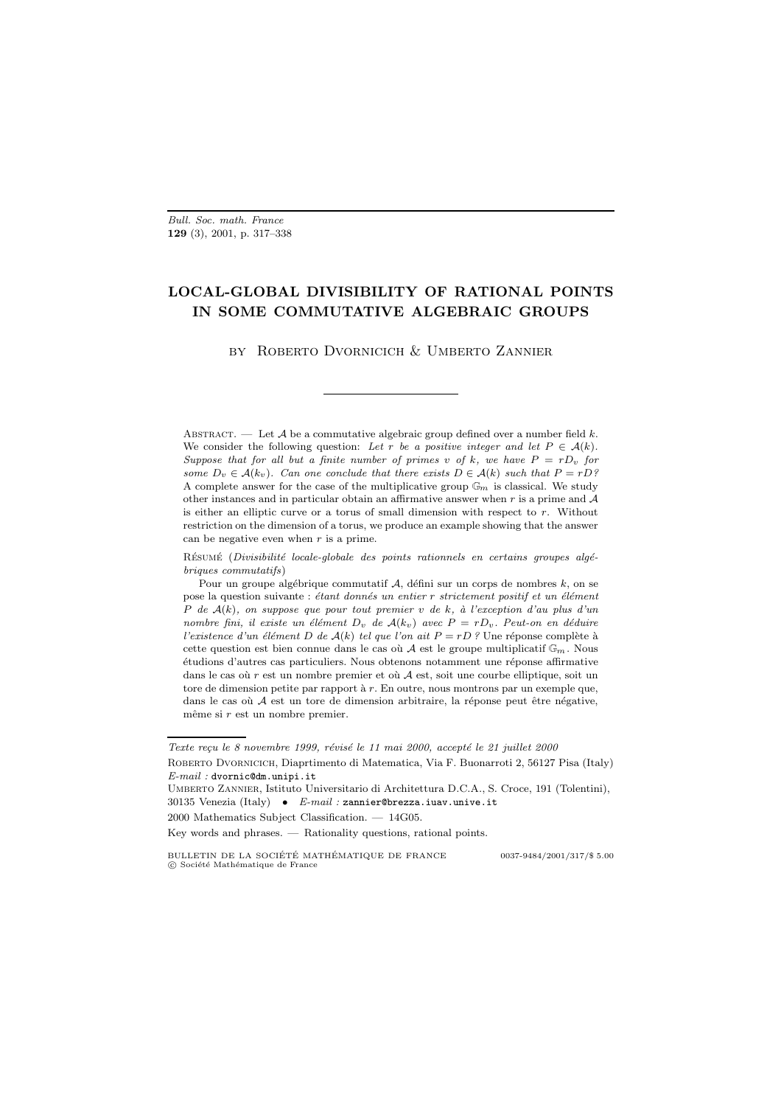Bull. Soc. math. France **129** (3), 2001, p. 317–338

# **LOCAL-GLOBAL DIVISIBILITY OF RATIONAL POINTS IN SOME COMMUTATIVE ALGEBRAIC GROUPS**

by Roberto Dvornicich & Umberto Zannier

ABSTRACT. — Let  $\mathcal A$  be a commutative algebraic group defined over a number field k. We consider the following question: Let r be a positive integer and let  $P \in \mathcal{A}(k)$ . Suppose that for all but a finite number of primes v of k, we have  $P = rD_v$  for some  $D_v \in \mathcal{A}(k_v)$ . Can one conclude that there exists  $D \in \mathcal{A}(k)$  such that  $P = rD$ ? A complete answer for the case of the multiplicative group  $\mathbb{G}_m$  is classical. We study other instances and in particular obtain an affirmative answer when r is a prime and  $A$ is either an elliptic curve or a torus of small dimension with respect to  $r$ . Without restriction on the dimension of a torus, we produce an example showing that the answer can be negative even when  $r$  is a prime.

RÉSUMÉ (Divisibilité locale-globale des points rationnels en certains groupes algébriques commutatifs)

Pour un groupe algébrique commutatif  $A$ , défini sur un corps de nombres k, on se pose la question suivante : étant donnés un entier  $r$  strictement positif et un élément P de  $A(k)$ , on suppose que pour tout premier v de k, à l'exception d'au plus d'un nombre fini, il existe un élément  $D_v$  de  $A(k_v)$  avec  $P = rD_v$ . Peut-on en déduire l'existence d'un élément D de  $A(k)$  tel que l'on ait  $P = rD$  ? Une réponse complète à cette question est bien connue dans le cas où  $\mathcal A$  est le groupe multiplicatif  $\mathbb G_m$ . Nous étudions d'autres cas particuliers. Nous obtenons notamment une réponse affirmative dans le cas où  $r$  est un nombre premier et où  $\mathcal A$  est, soit une courbe elliptique, soit un tore de dimension petite par rapport à  $r$ . En outre, nous montrons par un exemple que, dans le cas où  $A$  est un tore de dimension arbitraire, la réponse peut être négative, même si  $r$  est un nombre premier.

Texte reçu le 8 novembre 1999, révisé le 11 mai 2000, accepté le 21 juillet 2000 Roberto Dvornicich, Diaprtimento di Matematica, Via F. Buonarroti 2, 56127 Pisa (Italy)  $E-mail:$  dvornic@dm.unipi.it

Umberto Zannier, Istituto Universitario di Architettura D.C.A., S. Croce, 191 (Tolentini), 30135 Venezia (Italy) •  $E-mail: \texttt{zannier@brezza.iuav.unive.it}$ 

 $2000$  Mathematics Subject Classification.  $- 14G05$ .

Key words and phrases. — Rationality questions, rational points.

BULLETIN DE LA SOCIÉTÉ MATHÉMATIQUE DE FRANCE  $0037-9484/2001/317/\$~5.00$  $\copyright$  Société Mathématique de France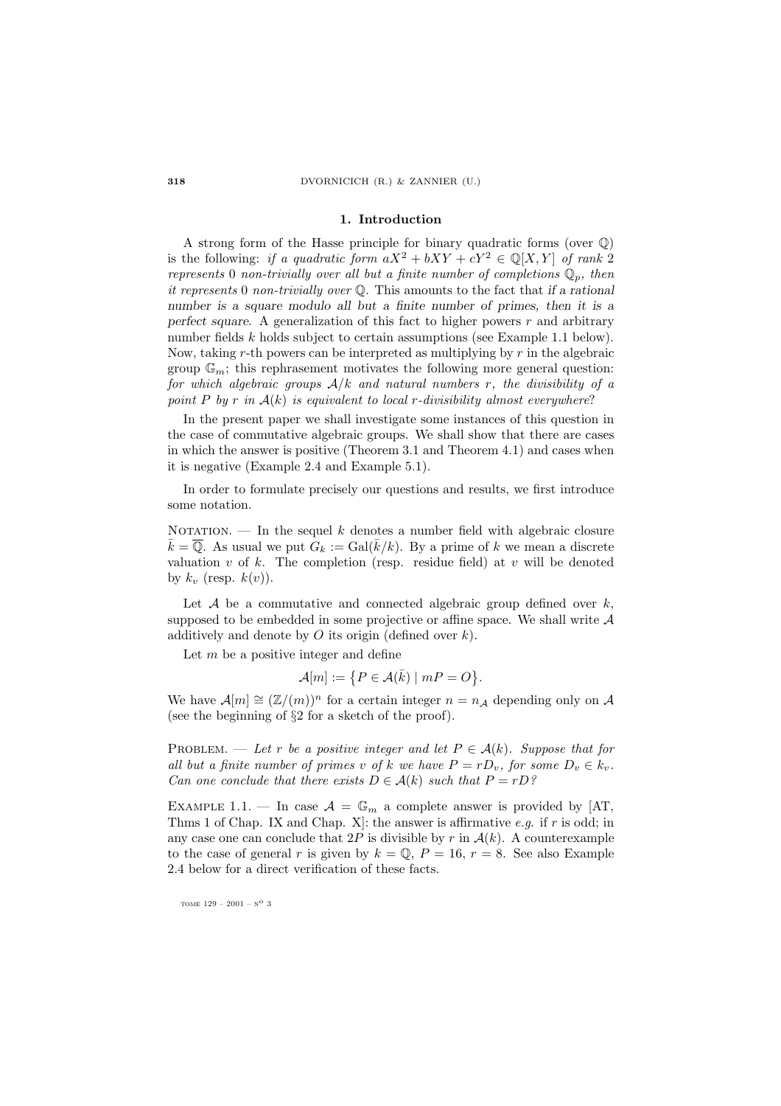#### **1. Introduction**

A strong form of the Hasse principle for binary quadratic forms (over Q) is the following: if a quadratic form  $aX^2 + bXY + cY^2 \in \mathbb{Q}[X, Y]$  of rank 2 represents 0 non-trivially over all but a finite number of completions  $\mathbb{Q}_p$ , then it represents 0 non-trivially over Q. This amounts to the fact that *if a rational number is a square modulo all but a finite number of primes, then it is a perfect square.* A generalization of this fact to higher powers  $r$  and arbitrary number fields k holds subject to certain assumptions (see Example 1.1 below). Now, taking r-th powers can be interpreted as multiplying by  $r$  in the algebraic group  $\mathbb{G}_m$ ; this rephrasement motivates the following more general question: for which algebraic groups  $A/k$  and natural numbers r, the divisibility of a point P by r in  $A(k)$  is equivalent to local r-divisibility almost everywhere?

In the present paper we shall investigate some instances of this question in the case of commutative algebraic groups. We shall show that there are cases in which the answer is positive (Theorem 3.1 and Theorem 4.1) and cases when it is negative (Example 2.4 and Example 5.1).

In order to formulate precisely our questions and results, we first introduce some notation.

NOTATION. — In the sequel k denotes a number field with algebraic closure  $\bar{k} = \overline{\mathbb{Q}}$ . As usual we put  $G_k := \text{Gal}(\bar{k}/k)$ . By a prime of k we mean a discrete valuation  $v$  of  $k$ . The completion (resp. residue field) at  $v$  will be denoted by  $k_v$  (resp.  $k(v)$ ).

Let  $A$  be a commutative and connected algebraic group defined over  $k$ , supposed to be embedded in some projective or affine space. We shall write  $A$ additively and denote by  $O$  its origin (defined over  $k$ ).

Let  $m$  be a positive integer and define

$$
\mathcal{A}[m] := \{ P \in \mathcal{A}(\bar{k}) \mid mP = O \}.
$$

We have  $\mathcal{A}[m] \cong (\mathbb{Z}/(m))^n$  for a certain integer  $n = n_A$  depending only on A (see the beginning of  $\S2$  for a sketch of the proof).

PROBLEM. — Let r be a positive integer and let  $P \in \mathcal{A}(k)$ . Suppose that for all but a finite number of primes v of k we have  $P = rD_v$ , for some  $D_v \in k_v$ . Can one conclude that there exists  $D \in \mathcal{A}(k)$  such that  $P = rD$ ?

EXAMPLE 1.1. — In case  $\mathcal{A} = \mathbb{G}_m$  a complete answer is provided by [AT, Thms 1 of Chap. IX and Chap. X: the answer is affirmative e.g. if  $r$  is odd; in any case one can conclude that  $2P$  is divisible by r in  $\mathcal{A}(k)$ . A counterexample to the case of general r is given by  $k = \mathbb{Q}$ ,  $P = 16$ ,  $r = 8$ . See also Example 2.4 below for a direct verification of these facts.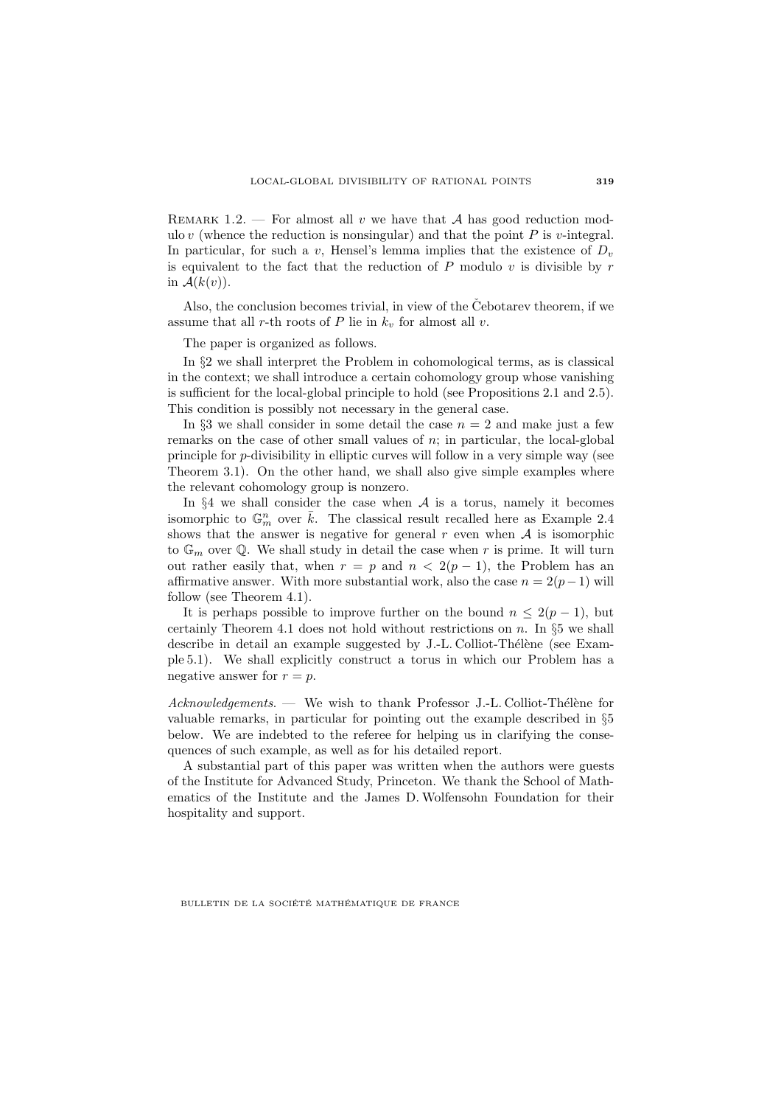REMARK 1.2. — For almost all v we have that A has good reduction modulo v (whence the reduction is nonsingular) and that the point  $P$  is v-integral. In particular, for such a v, Hensel's lemma implies that the existence of  $D_v$ is equivalent to the fact that the reduction of  $P$  modulo  $v$  is divisible by  $r$ in  $\mathcal{A}(k(v))$ .

Also, the conclusion becomes trivial, in view of the Cebotarev theorem, if we assume that all r-th roots of P lie in  $k_v$  for almost all v.

The paper is organized as follows.

In  $\S2$  we shall interpret the Problem in cohomological terms, as is classical in the context; we shall introduce a certain cohomology group whose vanishing is sufficient for the local-global principle to hold (see Propositions 2.1 and 2.5). This condition is possibly not necessary in the general case.

In  $\S$ 3 we shall consider in some detail the case  $n = 2$  and make just a few remarks on the case of other small values of n; in particular, the local-global principle for p-divisibility in elliptic curves will follow in a very simple way (see Theorem 3.1). On the other hand, we shall also give simple examples where the relevant cohomology group is nonzero.

In  $\S 4$  we shall consider the case when A is a torus, namely it becomes isomorphic to  $\mathbb{G}_m^n$  over  $\bar{k}$ . The classical result recalled here as Example 2.4 shows that the answer is negative for general  $r$  even when  $A$  is isomorphic to  $\mathbb{G}_m$  over Q. We shall study in detail the case when r is prime. It will turn out rather easily that, when  $r = p$  and  $n < 2(p - 1)$ , the Problem has an affirmative answer. With more substantial work, also the case  $n = 2(p-1)$  will follow (see Theorem 4.1).

It is perhaps possible to improve further on the bound  $n \leq 2(p-1)$ , but certainly Theorem 4.1 does not hold without restrictions on  $n$ . In §5 we shall describe in detail an example suggested by J.-L. Colliot-Thélène (see Example 5.1). We shall explicitly construct a torus in which our Problem has a negative answer for  $r = p$ .

 $Acknowledgements.$  We wish to thank Professor J.-L. Colliot-Thélène for valuable remarks, in particular for pointing out the example described in §5 below. We are indebted to the referee for helping us in clarifying the consequences of such example, as well as for his detailed report.

A substantial part of this paper was written when the authors were guests of the Institute for Advanced Study, Princeton. We thank the School of Mathematics of the Institute and the James D. Wolfensohn Foundation for their hospitality and support.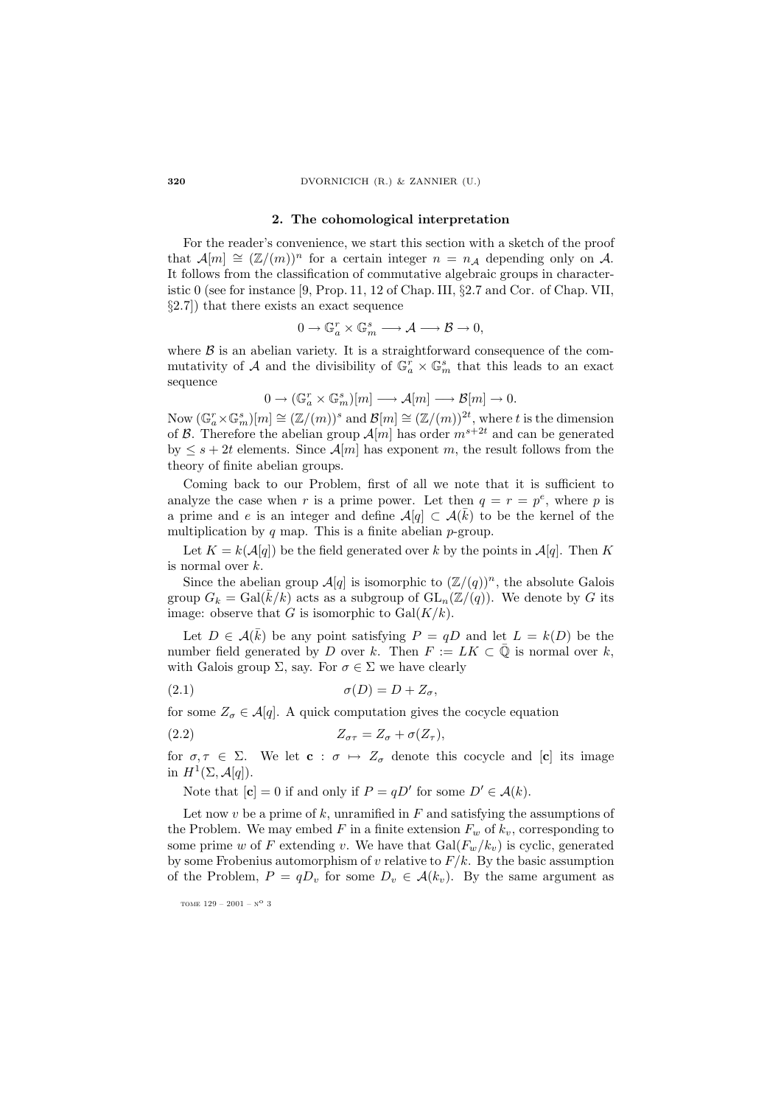**320** DVORNICICH (R.) & ZANNIER (U.)

#### **2. The cohomological interpretation**

For the reader's convenience, we start this section with a sketch of the proof that  $\mathcal{A}[m] \cong (\mathbb{Z}/(m))^n$  for a certain integer  $n = n_{\mathcal{A}}$  depending only on A. It follows from the classification of commutative algebraic groups in characteristic 0 (see for instance [9, Prop. 11, 12 of Chap. III,  $\S 2.7$  and Cor. of Chap. VII, §2.7]) that there exists an exact sequence

$$
0\longrightarrow \mathbb{G}_a^r\times \mathbb{G}_m^s\longrightarrow \mathcal{A}\longrightarrow \mathcal{B}\longrightarrow 0,
$$

where  $\beta$  is an abelian variety. It is a straightforward consequence of the commutativity of A and the divisibility of  $\mathbb{G}_a^r \times \mathbb{G}_m^s$  that this leads to an exact sequence

 $0 \to (\mathbb{G}_a^r \times \mathbb{G}_m^s)[m] \longrightarrow \mathcal{A}[m] \longrightarrow \mathcal{B}[m] \to 0.$ 

Now  $(\mathbb{G}_a^r \times \mathbb{G}_m^s)[m] \cong (\mathbb{Z}/(m))^s$  and  $\mathcal{B}[m] \cong (\mathbb{Z}/(m))^{2t}$ , where t is the dimension of B. Therefore the abelian group  $\mathcal{A}[m]$  has order  $m^{s+2t}$  and can be generated by  $\leq s+2t$  elements. Since  $\mathcal{A}[m]$  has exponent m, the result follows from the theory of finite abelian groups.

Coming back to our Problem, first of all we note that it is sufficient to analyze the case when r is a prime power. Let then  $q = r = p^e$ , where p is a prime and e is an integer and define  $\mathcal{A}[q] \subset \mathcal{A}(\overline{k})$  to be the kernel of the multiplication by  $q$  map. This is a finite abelian  $p$ -group.

Let  $K = k(\mathcal{A}[q])$  be the field generated over k by the points in  $\mathcal{A}[q]$ . Then K is normal over k.

Since the abelian group  $\mathcal{A}[q]$  is isomorphic to  $(\mathbb{Z}/(q))^n$ , the absolute Galois group  $G_k = \text{Gal}(\bar{k}/k)$  acts as a subgroup of  $\text{GL}_n(\mathbb{Z}/(q))$ . We denote by G its image: observe that G is isomorphic to  $Gal(K/k)$ .

Let  $D \in \mathcal{A}(\overline{k})$  be any point satisfying  $P = qD$  and let  $L = k(D)$  be the number field generated by D over k. Then  $F := LK \subset \overline{Q}$  is normal over k, with Galois group  $\Sigma$ , say. For  $\sigma \in \Sigma$  we have clearly

$$
\sigma(D) = D + Z_{\sigma},
$$

for some  $Z_{\sigma} \in \mathcal{A}[q]$ . A quick computation gives the cocycle equation

$$
(2.2) \t\t Z_{\sigma\tau} = Z_{\sigma} + \sigma(Z_{\tau}),
$$

for  $\sigma, \tau \in \Sigma$ . We let  $\mathbf{c} : \sigma \mapsto Z_{\sigma}$  denote this cocycle and  $[\mathbf{c}]$  its image in  $H^1(\Sigma, \mathcal{A}[q]).$ 

Note that  $[\mathbf{c}] = 0$  if and only if  $P = qD'$  for some  $D' \in \mathcal{A}(k)$ .

Let now v be a prime of k, unramified in  $F$  and satisfying the assumptions of the Problem. We may embed F in a finite extension  $F_w$  of  $k_v$ , corresponding to some prime w of F extending v. We have that  $Gal(F_w/k_v)$  is cyclic, generated by some Frobenius automorphism of v relative to  $F/k$ . By the basic assumption of the Problem,  $P = qD_v$  for some  $D_v \in \mathcal{A}(k_v)$ . By the same argument as

tome  $129 - 2001 - N^{\circ}$  3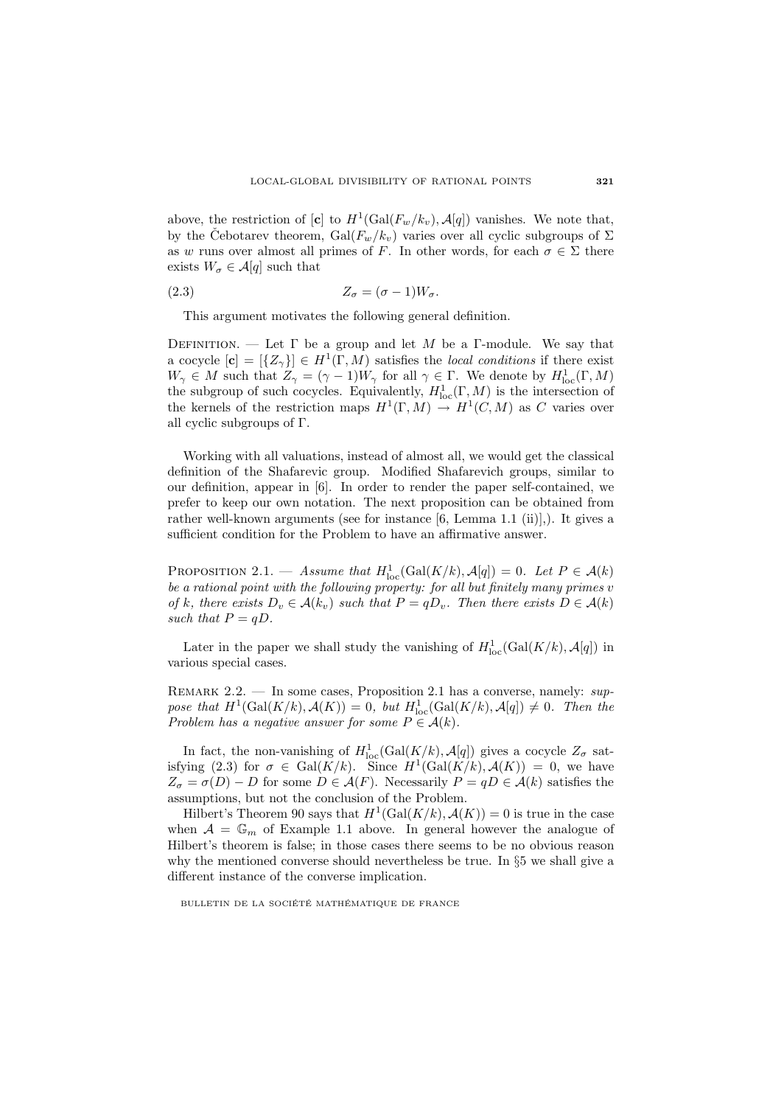above, the restriction of  $[\mathbf{c}]$  to  $H^1(\text{Gal}(F_w/k_v), \mathcal{A}[q])$  vanishes. We note that, by the Cebotarev theorem, Gal $(F_w/k_v)$  varies over all cyclic subgroups of  $\Sigma$ as w runs over almost all primes of F. In other words, for each  $\sigma \in \Sigma$  there exists  $W_{\sigma} \in \mathcal{A}[q]$  such that

$$
(2.3) \t\t Z_{\sigma} = (\sigma - 1)W_{\sigma}.
$$

This argument motivates the following general definition.

DEFINITION. — Let  $\Gamma$  be a group and let M be a Γ-module. We say that a cocycle  $[\mathbf{c}] = [\{Z_{\gamma}\}] \in H^1(\Gamma, \overline{M})$  satisfies the *local conditions* if there exist  $W_{\gamma} \in M$  such that  $Z_{\gamma} = (\gamma - 1)W_{\gamma}$  for all  $\gamma \in \Gamma$ . We denote by  $H_{\text{loc}}^1(\Gamma, M)$ the subgroup of such cocycles. Equivalently,  $H^1_{loc}(\Gamma, M)$  is the intersection of the kernels of the restriction maps  $H^1(\Gamma,M) \to H^1(C,M)$  as C varies over all cyclic subgroups of Γ.

Working with all valuations, instead of almost all, we would get the classical definition of the Shafarevic group. Modified Shafarevich groups, similar to our definition, appear in [6]. In order to render the paper self-contained, we prefer to keep our own notation. The next proposition can be obtained from rather well-known arguments (see for instance [6, Lemma 1.1 (ii)],). It gives a sufficient condition for the Problem to have an affirmative answer.

PROPOSITION 2.1. — Assume that  $H_{\text{loc}}^1(\text{Gal}(K/k), \mathcal{A}[q]) = 0$ . Let  $P \in \mathcal{A}(k)$ be a rational point with the following property: for all but finitely many primes  $v$ of k, there exists  $D_v \in \mathcal{A}(k_v)$  such that  $P = qD_v$ . Then there exists  $D \in \mathcal{A}(k)$ such that  $P = qD$ .

Later in the paper we shall study the vanishing of  $H_{\text{loc}}^1(\text{Gal}(K/k), \mathcal{A}[q])$  in various special cases.

REMARK 2.2. — In some cases, Proposition 2.1 has a converse, namely:  $sup$ pose that  $H^1(\text{Gal}(K/k), \mathcal{A}(K)) = 0$ , but  $H^1_{\text{loc}}(\text{Gal}(K/k), \mathcal{A}[q]) \neq 0$ . Then the Problem has a negative answer for some  $P \in \mathcal{A}(k)$ .

In fact, the non-vanishing of  $H_{\text{loc}}^1(\text{Gal}(K/k), \mathcal{A}[q])$  gives a cocycle  $Z_{\sigma}$  satisfying (2.3) for  $\sigma \in \text{Gal}(K/k)$ . Since  $H^1(\text{Gal}(K/k), \mathcal{A}(K)) = 0$ , we have  $Z_{\sigma} = \sigma(D) - D$  for some  $D \in \mathcal{A}(F)$ . Necessarily  $P = qD \in \mathcal{A}(k)$  satisfies the assumptions, but not the conclusion of the Problem.

Hilbert's Theorem 90 says that  $H^1(\text{Gal}(K/k), \mathcal{A}(K)) = 0$  is true in the case when  $A = \mathbb{G}_m$  of Example 1.1 above. In general however the analogue of Hilbert's theorem is false; in those cases there seems to be no obvious reason why the mentioned converse should nevertheless be true. In §5 we shall give a different instance of the converse implication.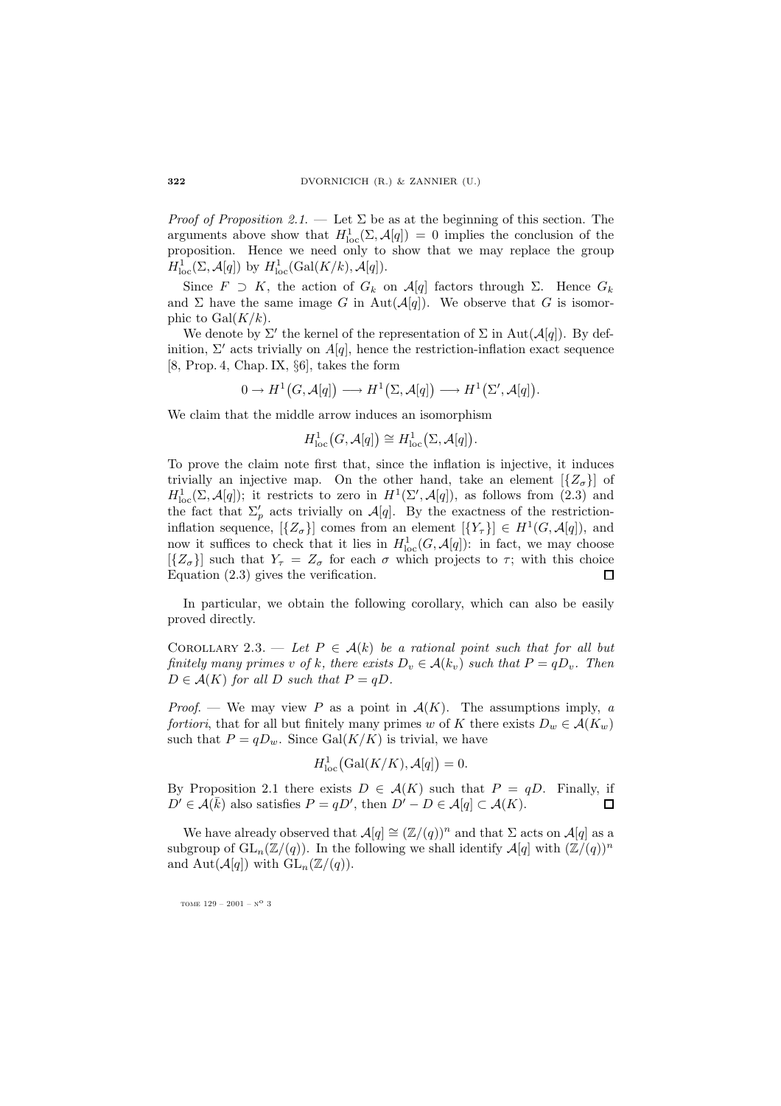*Proof of Proposition 2.1.* — Let  $\Sigma$  be as at the beginning of this section. The arguments above show that  $H_{\text{loc}}^1(\Sigma, \mathcal{A}[q]) = 0$  implies the conclusion of the proposition. Hence we need only to show that we may replace the group  $H_{\text{loc}}^1(\Sigma, \mathcal{A}[q])$  by  $H_{\text{loc}}^1(\text{Gal}(K/k), \mathcal{A}[q]).$ 

Since  $F \supset K$ , the action of  $G_k$  on  $\mathcal{A}[q]$  factors through  $\Sigma$ . Hence  $G_k$ and  $\Sigma$  have the same image G in Aut $(A[q])$ . We observe that G is isomorphic to  $Gal(K/k)$ .

We denote by  $\Sigma'$  the kernel of the representation of  $\Sigma$  in  $\text{Aut}(\mathcal{A}[q])$ . By definition,  $\Sigma'$  acts trivially on  $A[q]$ , hence the restriction-inflation exact sequence [8, Prop. 4, Chap. IX, §6], takes the form

$$
0 \to H^1(G, \mathcal{A}[q]) \longrightarrow H^1(\Sigma, \mathcal{A}[q]) \longrightarrow H^1(\Sigma', \mathcal{A}[q]).
$$

We claim that the middle arrow induces an isomorphism

$$
H_{\mathrm{loc}}^1(G, \mathcal{A}[q]) \cong H_{\mathrm{loc}}^1(\Sigma, \mathcal{A}[q]).
$$

To prove the claim note first that, since the inflation is injective, it induces trivially an injective map. On the other hand, take an element  $[\{Z_{\sigma}\}]$  of  $H_{\text{loc}}^1(\Sigma, \mathcal{A}[q])$ ; it restricts to zero in  $H^1(\Sigma', \mathcal{A}[q])$ , as follows from (2.3) and the fact that  $\Sigma_p'$  acts trivially on  $\mathcal{A}[q]$ . By the exactness of the restrictioninflation sequence,  $[\{Z_{\sigma}\}]$  comes from an element  $[\{Y_{\tau}\}] \in H^1(G, \mathcal{A}[q])$ , and now it suffices to check that it lies in  $H_{\text{loc}}^1(G, \mathcal{A}[q])$ : in fact, we may choose  $[{Z_{\sigma}}]$  such that  $Y_{\tau} = Z_{\sigma}$  for each  $\sigma$  which projects to  $\tau$ ; with this choice Equation (2.3) gives the verification. П

In particular, we obtain the following corollary, which can also be easily proved directly.

COROLLARY 2.3. — Let  $P \in \mathcal{A}(k)$  be a rational point such that for all but finitely many primes v of k, there exists  $D_v \in \mathcal{A}(k_v)$  such that  $P = qD_v$ . Then  $D \in \mathcal{A}(K)$  for all D such that  $P = qD$ .

*Proof.* — We may view P as a point in  $A(K)$ . The assumptions imply, a fortiori, that for all but finitely many primes w of K there exists  $D_w \in \mathcal{A}(K_w)$ such that  $P = qD_w$ . Since Gal $(K/K)$  is trivial, we have

$$
H_{\mathrm{loc}}^1(\mathrm{Gal}(K/K), \mathcal{A}[q]) = 0.
$$

By Proposition 2.1 there exists  $D \in \mathcal{A}(K)$  such that  $P = qD$ . Finally, if  $D' \in \mathcal{A}(\bar{k})$  also satisfies  $P = qD'$ , then  $D' - D \in \mathcal{A}[q] \subset \mathcal{A}(K)$ .  $\Box$ 

We have already observed that  $\mathcal{A}[q] \cong (\mathbb{Z}/(q))^n$  and that  $\Sigma$  acts on  $\mathcal{A}[q]$  as a subgroup of  $GL_n(\mathbb{Z}/(q))$ . In the following we shall identify  $\mathcal{A}[q]$  with  $(\mathbb{Z}/(q))^n$ and Aut $(\mathcal{A}[q])$  with  $GL_n(\mathbb{Z}/(q))$ .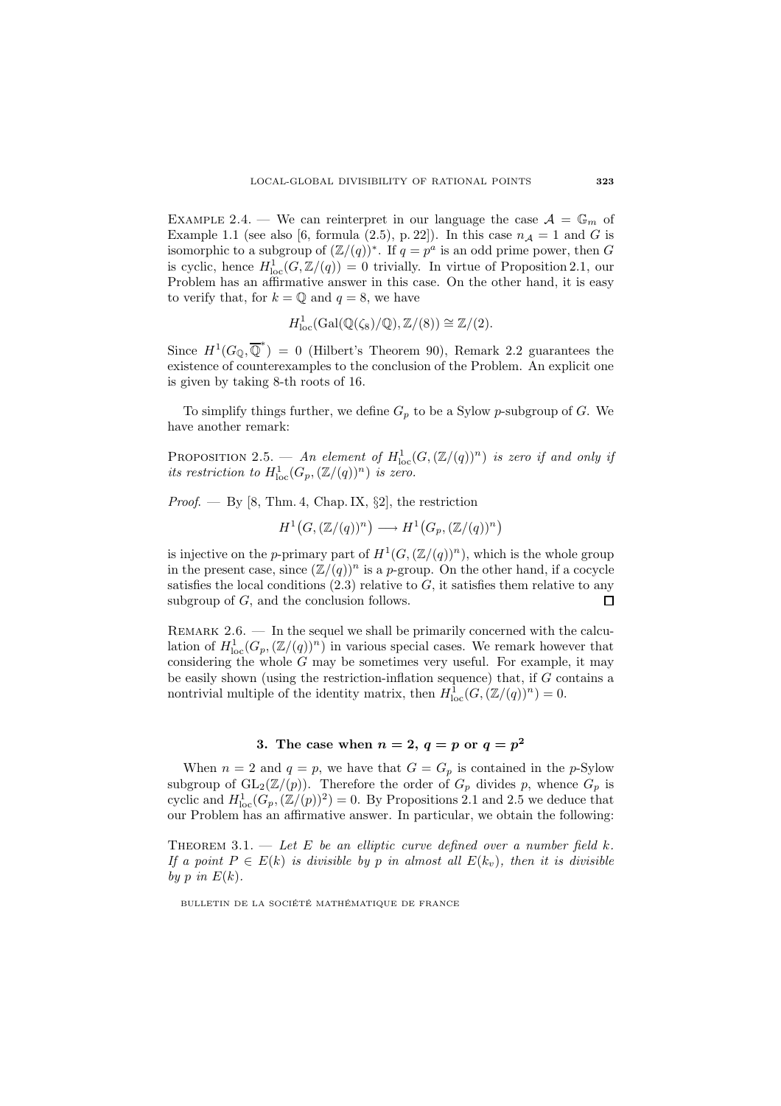EXAMPLE 2.4. — We can reinterpret in our language the case  $A = \mathbb{G}_m$  of Example 1.1 (see also [6, formula (2.5), p. 22]). In this case  $n_A = 1$  and G is isomorphic to a subgroup of  $(\mathbb{Z}/(q))^*$ . If  $q = p^a$  is an odd prime power, then G is cyclic, hence  $H_{\text{loc}}^1(G, \mathbb{Z}/(q)) = 0$  trivially. In virtue of Proposition 2.1, our Problem has an affirmative answer in this case. On the other hand, it is easy to verify that, for  $k = \mathbb{O}$  and  $q = 8$ , we have

$$
H^1_{\text{loc}}(\text{Gal}(\mathbb{Q}(\zeta_8)/\mathbb{Q}), \mathbb{Z}/(8)) \cong \mathbb{Z}/(2).
$$

Since  $H^1(G_{\mathbb{Q}}, \overline{\mathbb{Q}}^*) = 0$  (Hilbert's Theorem 90), Remark 2.2 guarantees the existence of counterexamples to the conclusion of the Problem. An explicit one is given by taking 8-th roots of 16.

To simplify things further, we define  $G_p$  to be a Sylow p-subgroup of G. We have another remark:

PROPOSITION 2.5. — An element of  $H^1_{\text{loc}}(G,(\mathbb{Z}/(q))^n)$  is zero if and only if its restriction to  $H_{\text{loc}}^1(G_p, (\mathbb{Z}/(q))^n)$  is zero.

*Proof.* — By [8, Thm. 4, Chap. IX,  $\S2$ ], the restriction

$$
H^1(G, (\mathbb{Z}/(q))^n) \longrightarrow H^1(G_p, (\mathbb{Z}/(q))^n)
$$

is injective on the p-primary part of  $H^1(G,(\mathbb{Z}/(q))^n)$ , which is the whole group in the present case, since  $(\mathbb{Z}/(q))^n$  is a p-group. On the other hand, if a cocycle satisfies the local conditions  $(2.3)$  relative to G, it satisfies them relative to any subgroup of G, and the conclusion follows.  $\Box$ 

REMARK  $2.6.$  — In the sequel we shall be primarily concerned with the calculation of  $H^1_{loc}(G_p, (\mathbb{Z}/(q))^n)$  in various special cases. We remark however that considering the whole  $G$  may be sometimes very useful. For example, it may be easily shown (using the restriction-inflation sequence) that, if  $G$  contains a nontrivial multiple of the identity matrix, then  $H_{\text{loc}}^1(G, (\mathbb{Z}/(q))^n) = 0$ .

# **3.** The case when  $n = 2$ ,  $q = p$  or  $q = p^2$

When  $n = 2$  and  $q = p$ , we have that  $G = G_p$  is contained in the p-Sylow subgroup of  $GL_2(\mathbb{Z}/(p))$ . Therefore the order of  $G_p$  divides p, whence  $G_p$  is cyclic and  $H_{\text{loc}}^1(G_p,(\mathbb{Z}/(p))^2) = 0$ . By Propositions 2.1 and 2.5 we deduce that our Problem has an affirmative answer. In particular, we obtain the following:

THEOREM 3.1. — Let E be an elliptic curve defined over a number field  $k$ . If a point  $P \in E(k)$  is divisible by p in almost all  $E(k_v)$ , then it is divisible by p in  $E(k)$ .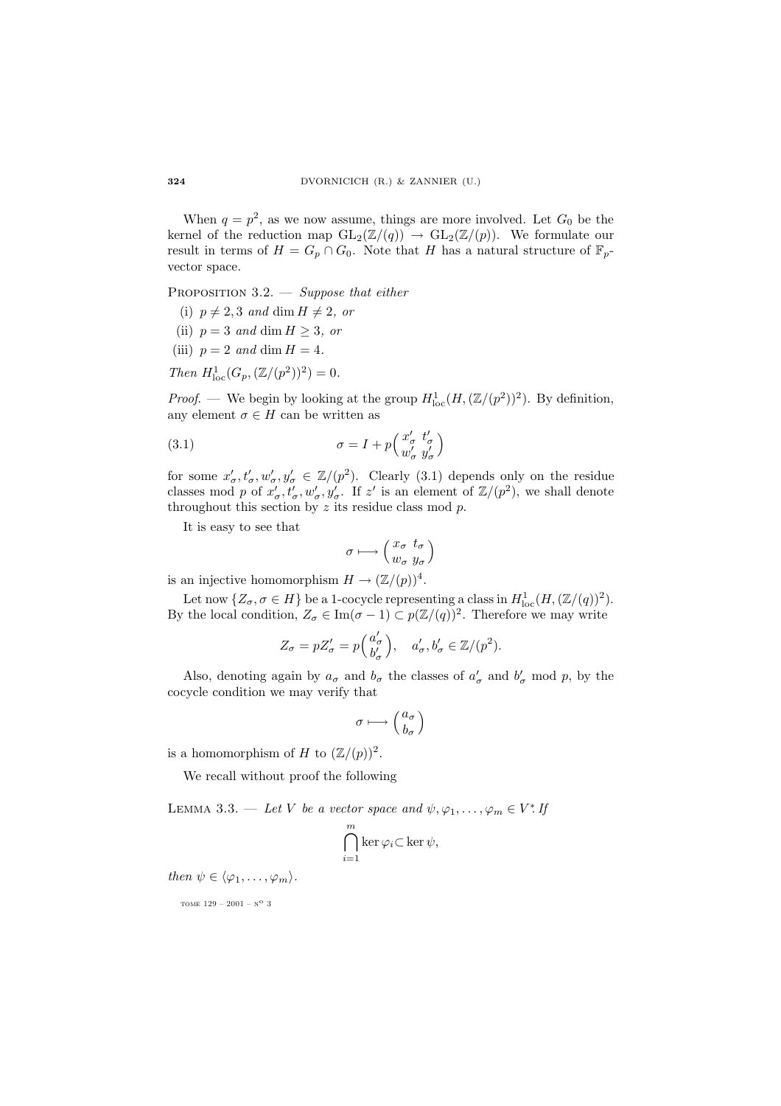When  $q = p^2$ , as we now assume, things are more involved. Let  $G_0$  be the kernel of the reduction map  $GL_2(\mathbb{Z}/(q)) \to GL_2(\mathbb{Z}/(p))$ . We formulate our result in terms of  $H = G_p \cap G_0$ . Note that H has a natural structure of  $\mathbb{F}_p$ vector space.

PROPOSITION  $3.2.$  — Suppose that either

- (i)  $p \neq 2, 3$  and dim  $H \neq 2$ , or
- (ii)  $p = 3$  and dim  $H \ge 3$ , or
- (iii)  $p = 2$  and dim  $H = 4$ .
- Then  $H_{\text{loc}}^1(G_p, (\mathbb{Z}/(p^2))^2) = 0.$

*Proof.* — We begin by looking at the group  $H_{loc}^{1}(H, (\mathbb{Z}/(p^{2}))^{2})$ . By definition, any element  $\sigma \in H$  can be written as

(3.1) 
$$
\sigma = I + p \begin{pmatrix} x'_{\sigma} & t'_{\sigma} \\ w'_{\sigma} & y'_{\sigma} \end{pmatrix}
$$

for some  $x'_{\sigma}, t'_{\sigma}, w'_{\sigma}, y'_{\sigma} \in \mathbb{Z}/(p^2)$ . Clearly (3.1) depends only on the residue classes mod p of  $x'_{\sigma}, t'_{\sigma}, w'_{\sigma}, y'_{\sigma}$ . If z' is an element of  $\mathbb{Z}/(p^2)$ , we shall denote throughout this section by  $z$  its residue class mod  $p$ .

It is easy to see that

$$
\sigma \longmapsto \left( \begin{array}{cc} x_{\sigma} & t_{\sigma} \\ w_{\sigma} & y_{\sigma} \end{array} \right)
$$

is an injective homomorphism  $H \to (\mathbb{Z}/(p))^4$ .

Let now  $\{Z_{\sigma}, \sigma \in H\}$  be a 1-cocycle representing a class in  $H_{\text{loc}}^1(H, (\mathbb{Z}/(q))^2)$ . By the local condition,  $Z_{\sigma} \in \text{Im}(\sigma - 1) \subset p(\mathbb{Z}/(q))^2$ . Therefore we may write

$$
Z_{\sigma} = pZ_{\sigma}' = p\left(\begin{matrix} a_{\sigma}' \\ b_{\sigma}' \end{matrix}\right), \quad a_{\sigma}', b_{\sigma}' \in \mathbb{Z}/(p^2).
$$

Also, denoting again by  $a_{\sigma}$  and  $b_{\sigma}$  the classes of  $a'_{\sigma}$  and  $b'_{\sigma}$  mod p, by the cocycle condition we may verify that

$$
\sigma\longmapsto \left(\begin{matrix}a_\sigma\\b_\sigma\end{matrix}\right)
$$

is a homomorphism of H to  $(\mathbb{Z}/(p))^2$ .

We recall without proof the following

LEMMA 3.3. — Let V be a vector space and  $\psi, \varphi_1, \ldots, \varphi_m \in V^*$ . If

$$
\bigcap_{i=1}^m \ker \varphi_i \subset \ker \psi,
$$

then  $\psi \in {\langle \varphi_1, \ldots, \varphi_m \rangle}$ .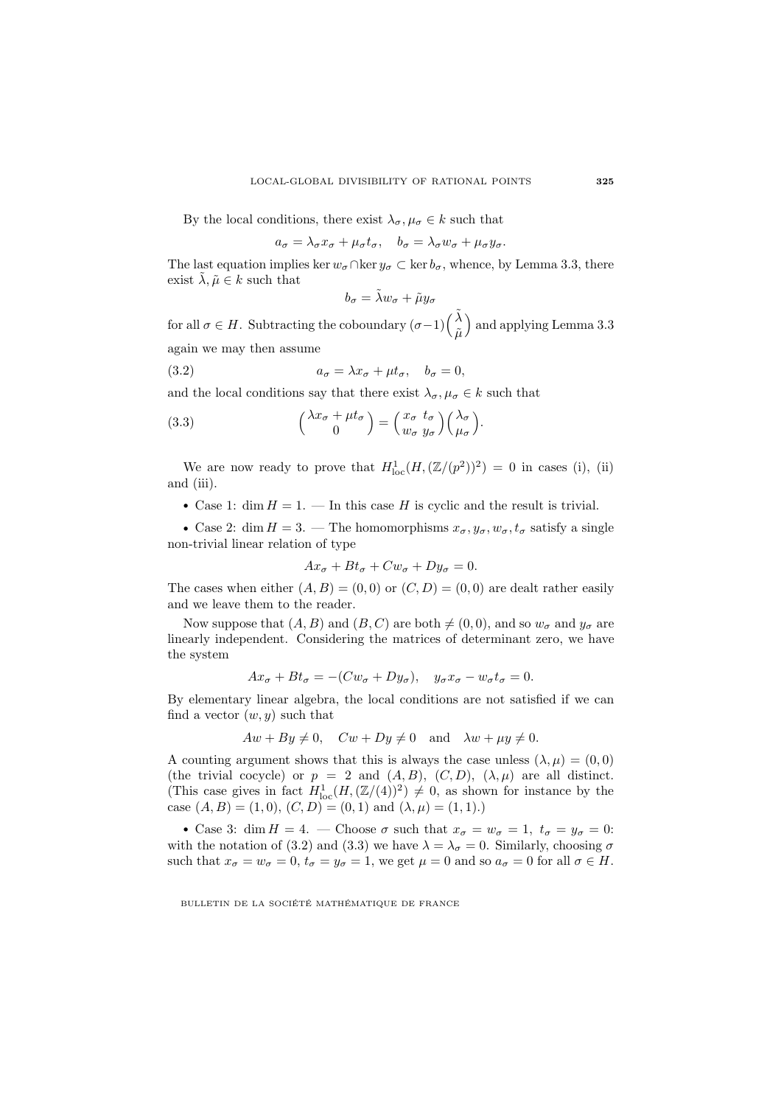By the local conditions, there exist  $\lambda_{\sigma}, \mu_{\sigma} \in k$  such that

$$
a_{\sigma} = \lambda_{\sigma} x_{\sigma} + \mu_{\sigma} t_{\sigma}, \quad b_{\sigma} = \lambda_{\sigma} w_{\sigma} + \mu_{\sigma} y_{\sigma}.
$$

The last equation implies ker  $w_{\sigma} \cap \ker y_{\sigma} \subset \ker b_{\sigma}$ , whence, by Lemma 3.3, there exist  $\tilde{\lambda}, \tilde{\mu} \in k$  such that

$$
b_{\sigma} = \tilde{\lambda} w_{\sigma} + \tilde{\mu} y_{\sigma}
$$

for all  $\sigma \in H$ . Subtracting the coboundary  $(\sigma-1)\Big(\frac{\tilde{\lambda}}{\tilde{\mu}}$  and applying Lemma 3.3 again we may then assume

(3.2) 
$$
a_{\sigma} = \lambda x_{\sigma} + \mu t_{\sigma}, \quad b_{\sigma} = 0,
$$

and the local conditions say that there exist  $\lambda_{\sigma}, \mu_{\sigma} \in k$  such that

(3.3) 
$$
\begin{pmatrix} \lambda x_{\sigma} + \mu t_{\sigma} \\ 0 \end{pmatrix} = \begin{pmatrix} x_{\sigma} & t_{\sigma} \\ w_{\sigma} & y_{\sigma} \end{pmatrix} \begin{pmatrix} \lambda_{\sigma} \\ \mu_{\sigma} \end{pmatrix}.
$$

We are now ready to prove that  $H_{\text{loc}}^1(H,(\mathbb{Z}/(p^2))^2) = 0$  in cases (i), (ii) and (iii).

• Case 1: dim  $H = 1$ . — In this case H is cyclic and the result is trivial.

• Case 2: dim  $H = 3$ . — The homomorphisms  $x_{\sigma}, y_{\sigma}, w_{\sigma}, t_{\sigma}$  satisfy a single non-trivial linear relation of type

$$
Ax_{\sigma} + Bt_{\sigma} + Cw_{\sigma} + Dy_{\sigma} = 0.
$$

The cases when either  $(A, B) = (0, 0)$  or  $(C, D) = (0, 0)$  are dealt rather easily and we leave them to the reader.

Now suppose that  $(A, B)$  and  $(B, C)$  are both  $\neq (0, 0)$ , and so  $w_{\sigma}$  and  $y_{\sigma}$  are linearly independent. Considering the matrices of determinant zero, we have the system

$$
Ax_{\sigma} + Bt_{\sigma} = -(Cw_{\sigma} + Dy_{\sigma}), \quad y_{\sigma}x_{\sigma} - w_{\sigma}t_{\sigma} = 0.
$$

By elementary linear algebra, the local conditions are not satisfied if we can find a vector  $(w, y)$  such that

$$
Aw + By \neq 0, \quad Cw + Dy \neq 0 \quad \text{and} \quad \lambda w + \mu y \neq 0.
$$

A counting argument shows that this is always the case unless  $(\lambda, \mu) = (0, 0)$ (the trivial cocycle) or  $p = 2$  and  $(A, B)$ ,  $(C, D)$ ,  $(\lambda, \mu)$  are all distinct. (This case gives in fact  $H_{\text{loc}}^1(H, (\mathbb{Z}/(4))^2) \neq 0$ , as shown for instance by the case  $(A, B) = (1, 0), (C, D) = (0, 1)$  and  $(\lambda, \mu) = (1, 1).$ 

• Case 3: dim  $H = 4$ . — Choose  $\sigma$  such that  $x_{\sigma} = w_{\sigma} = 1$ ,  $t_{\sigma} = y_{\sigma} = 0$ : with the notation of (3.2) and (3.3) we have  $\lambda = \lambda_{\sigma} = 0$ . Similarly, choosing  $\sigma$ such that  $x_{\sigma} = w_{\sigma} = 0$ ,  $t_{\sigma} = y_{\sigma} = 1$ , we get  $\mu = 0$  and so  $a_{\sigma} = 0$  for all  $\sigma \in H$ .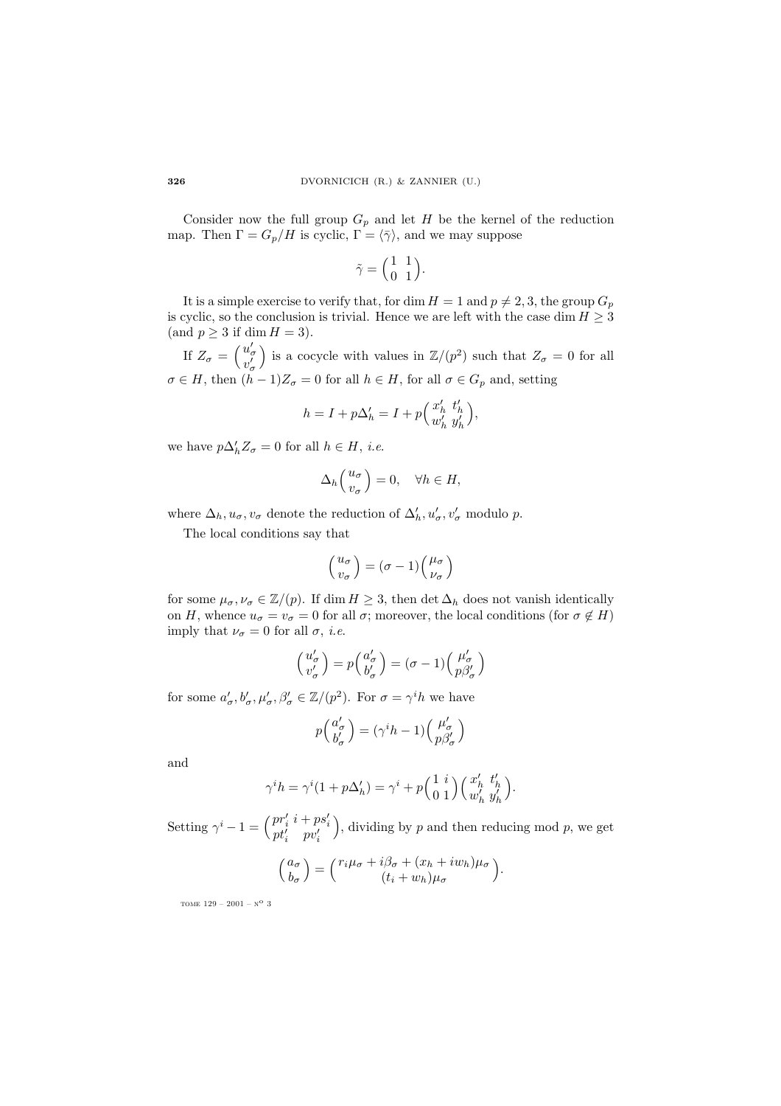Consider now the full group  $G_p$  and let H be the kernel of the reduction map. Then  $\Gamma = G_p/H$  is cyclic,  $\Gamma = \langle \overline{\gamma} \rangle$ , and we may suppose

$$
\tilde{\gamma} = \begin{pmatrix} 1 & 1 \\ 0 & 1 \end{pmatrix}.
$$

It is a simple exercise to verify that, for dim  $H = 1$  and  $p \neq 2, 3$ , the group  $G_p$ is cyclic, so the conclusion is trivial. Hence we are left with the case dim  $H \geq 3$ (and  $p \geq 3$  if dim  $H = 3$ ).

If  $Z_{\sigma} = \begin{pmatrix} u_{\sigma}' \\ v_{\sigma}' \end{pmatrix}$ ) is a cocycle with values in  $\mathbb{Z}/(p^2)$  such that  $Z_{\sigma} = 0$  for all  $\sigma \in H$ , then  $(h - 1)Z_{\sigma} = 0$  for all  $h \in H$ , for all  $\sigma \in G_p$  and, setting

$$
h = I + p\Delta_h' = I + p\left(\frac{x_h'}{w_h'}\frac{t_h'}{y_h'}\right),
$$

we have  $p\Delta'_h Z_\sigma = 0$  for all  $h \in H$ , *i.e.* 

$$
\Delta_h \left( \begin{array}{c} u_\sigma \\ v_\sigma \end{array} \right) = 0, \quad \forall h \in H,
$$

where  $\Delta_h, u_\sigma, v_\sigma$  denote the reduction of  $\Delta'_h, u'_\sigma, v'_\sigma$  modulo p.

The local conditions say that

$$
\left(\frac{u_\sigma}{v_\sigma}\right)=(\sigma-1)\Big(\frac{\mu_\sigma}{\nu_\sigma}\Big)
$$

for some  $\mu_{\sigma}, \nu_{\sigma} \in \mathbb{Z}/(p)$ . If dim  $H \geq 3$ , then det  $\Delta_h$  does not vanish identically on H, whence  $u_{\sigma} = v_{\sigma} = 0$  for all  $\sigma$ ; moreover, the local conditions (for  $\sigma \notin H$ ) imply that  $\nu_{\sigma} = 0$  for all  $\sigma$ , *i.e.* 

$$
\begin{pmatrix} u'_{\sigma} \\ v'_{\sigma} \end{pmatrix} = p \begin{pmatrix} a'_{\sigma} \\ b'_{\sigma} \end{pmatrix} = (\sigma - 1) \begin{pmatrix} \mu'_{\sigma} \\ p\beta'_{\sigma} \end{pmatrix}
$$

for some  $a'_{\sigma}, b'_{\sigma}, \mu'_{\sigma}, \beta'_{\sigma} \in \mathbb{Z}/(p^2)$ . For  $\sigma = \gamma^i h$  we have

$$
p\left(\begin{smallmatrix} a'_{\sigma} \\ b'_{\sigma} \end{smallmatrix}\right) = (\gamma^i h - 1) \left(\begin{smallmatrix} \mu'_{\sigma} \\ p\beta'_{\sigma} \end{smallmatrix}\right)
$$

and

$$
\gamma^{i}h = \gamma^{i}(1 + p\Delta'_{h}) = \gamma^{i} + p\begin{pmatrix} 1 & i \\ 0 & 1 \end{pmatrix} \begin{pmatrix} x'_{h} & t'_{h} \\ w'_{h} & y'_{h} \end{pmatrix}.
$$

Setting  $\gamma^{i} - 1 = \begin{pmatrix} pr'_{i} & i + ps'_{i} \\ pt'_{i} & pv'_{i} \end{pmatrix}$ ), dividing by  $p$  and then reducing mod  $p$ , we get

$$
\begin{pmatrix} a_{\sigma} \\ b_{\sigma} \end{pmatrix} = \begin{pmatrix} r_i \mu_{\sigma} + i \beta_{\sigma} + (x_h + iw_h) \mu_{\sigma} \\ (t_i + w_h) \mu_{\sigma} \end{pmatrix}.
$$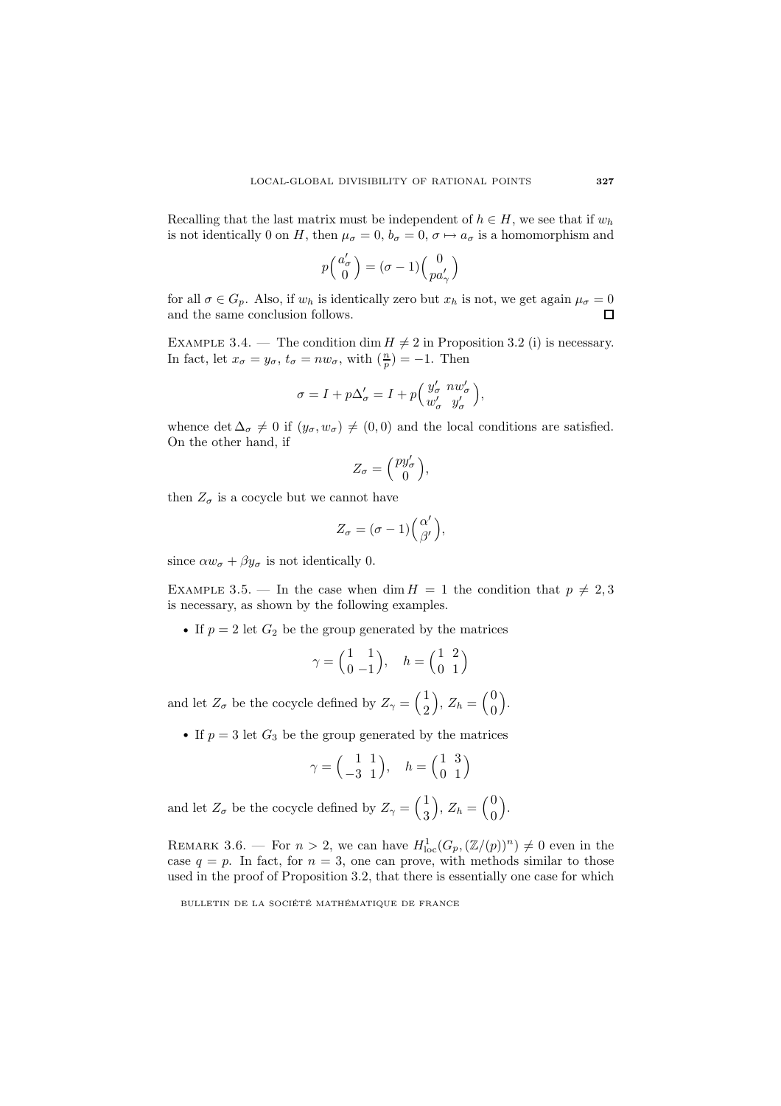Recalling that the last matrix must be independent of  $h \in H$ , we see that if  $w_h$ is not identically 0 on H, then  $\mu_{\sigma} = 0$ ,  $b_{\sigma} = 0$ ,  $\sigma \mapsto a_{\sigma}$  is a homomorphism and

$$
p\Big(\!\!\begin{array}{c} a'_\sigma\\0\end{array}\!\!\Big)=(\sigma-1)\Big(\!\!\begin{array}{c} 0\\pa'_\gamma\end{array}\!\!\Big)
$$

for all  $\sigma \in G_p$ . Also, if  $w_h$  is identically zero but  $x_h$  is not, we get again  $\mu_{\sigma} = 0$ and the same conclusion follows.

EXAMPLE 3.4. — The condition dim  $H \neq 2$  in Proposition 3.2 (i) is necessary. In fact, let  $x_{\sigma} = y_{\sigma}$ ,  $t_{\sigma} = nw_{\sigma}$ , with  $(\frac{n}{p}) = -1$ . Then

$$
\sigma = I + p\Delta'_{\sigma} = I + p \Big( \frac{y'_{\sigma}}{w'_{\sigma}} \frac{n w'_{\sigma}}{y'_{\sigma}} \Big),
$$

whence det  $\Delta_{\sigma} \neq 0$  if  $(y_{\sigma}, w_{\sigma}) \neq (0, 0)$  and the local conditions are satisfied. On the other hand, if

$$
Z_{\sigma} = \begin{pmatrix} py'_{\sigma} \\ 0 \end{pmatrix},
$$

then  $Z_{\sigma}$  is a cocycle but we cannot have

$$
Z_{\sigma} = (\sigma - 1) \left( \begin{matrix} \alpha' \\ \beta' \end{matrix} \right),
$$

since  $\alpha w_{\sigma} + \beta y_{\sigma}$  is not identically 0.

EXAMPLE 3.5. — In the case when dim  $H = 1$  the condition that  $p \neq 2,3$ is necessary, as shown by the following examples.

• If  $p = 2$  let  $G_2$  be the group generated by the matrices

$$
\gamma = \begin{pmatrix} 1 & 1 \\ 0 & -1 \end{pmatrix}, \quad h = \begin{pmatrix} 1 & 2 \\ 0 & 1 \end{pmatrix}
$$

and let  $Z_{\sigma}$  be the cocycle defined by  $Z_{\gamma} = \begin{pmatrix} 1 \\ 2 \end{pmatrix}$ 2  $\bigg), Z_h = \bigg(\begin{matrix} 0 \\ 0 \end{matrix}\bigg)$ 0 .

• If  $p = 3$  let  $G_3$  be the group generated by the matrices

$$
\gamma = \begin{pmatrix} 1 & 1 \\ -3 & 1 \end{pmatrix}, \quad h = \begin{pmatrix} 1 & 3 \\ 0 & 1 \end{pmatrix}
$$

and let  $Z_{\sigma}$  be the cocycle defined by  $Z_{\gamma} = \begin{pmatrix} 1 \\ 2 \end{pmatrix}$ 3  $\bigg), Z_h = \bigg(\begin{matrix} 0 \\ 0 \end{matrix}\bigg)$ 0 .

REMARK 3.6. – For  $n > 2$ , we can have  $H_{\text{loc}}^1(G_p, (\mathbb{Z}/(p))^n) \neq 0$  even in the case  $q = p$ . In fact, for  $n = 3$ , one can prove, with methods similar to those used in the proof of Proposition 3.2, that there is essentially one case for which

BULLETIN DE LA SOCIÉTÉ MATHÉMATIQUE DE FRANCE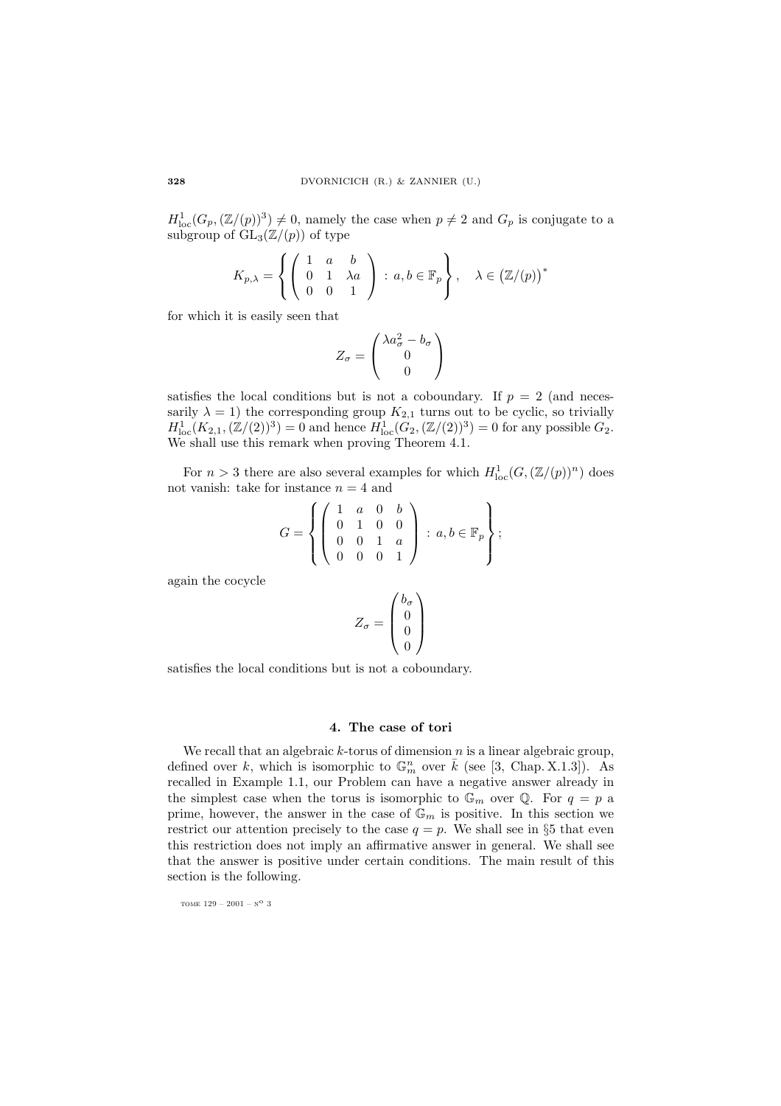$H_{\text{loc}}^1(G_p,(\mathbb{Z}/(p))^3) \neq 0$ , namely the case when  $p \neq 2$  and  $G_p$  is conjugate to a subgroup of  $GL_3(\mathbb{Z}/(p))$  of type

$$
K_{p,\lambda} = \left\{ \left( \begin{array}{ccc} 1 & a & b \\ 0 & 1 & \lambda a \\ 0 & 0 & 1 \end{array} \right) \, : \, a, b \in \mathbb{F}_p \right\}, \quad \lambda \in \left( \mathbb{Z}/(p) \right)^*
$$

for which it is easily seen that

$$
Z_{\sigma} = \begin{pmatrix} \lambda a_{\sigma}^2 - b_{\sigma} \\ 0 \\ 0 \end{pmatrix}
$$

satisfies the local conditions but is not a coboundary. If  $p = 2$  (and necessarily  $\lambda = 1$ ) the corresponding group  $K_{2,1}$  turns out to be cyclic, so trivially  $H_{\text{loc}}^1(K_{2,1},(\mathbb{Z}/(2))^3) = 0$  and hence  $H_{\text{loc}}^1(G_2,(\mathbb{Z}/(2))^3) = 0$  for any possible  $G_2$ . We shall use this remark when proving Theorem 4.1.

For  $n > 3$  there are also several examples for which  $H_{\text{loc}}^1(G, (\mathbb{Z}/(p))^n)$  does not vanish: take for instance  $n = 4$  and

$$
G = \left\{ \left( \begin{array}{cccc} 1 & a & 0 & b \\ 0 & 1 & 0 & 0 \\ 0 & 0 & 1 & a \\ 0 & 0 & 0 & 1 \end{array} \right) : a, b \in \mathbb{F}_p \right\};
$$

again the cocycle

$$
Z_{\sigma} = \begin{pmatrix} b_{\sigma} \\ 0 \\ 0 \\ 0 \end{pmatrix}
$$

satisfies the local conditions but is not a coboundary.

## 4. The case of tori

We recall that an algebraic  $k$ -torus of dimension  $n$  is a linear algebraic group, defined over k, which is isomorphic to  $\mathbb{G}_m^n$  over  $\bar{k}$  (see [3, Chap. X.1.3]). As recalled in Example 1.1, our Problem can have a negative answer already in the simplest case when the torus is isomorphic to  $\mathbb{G}_m$  over  $\mathbb{Q}$ . For  $q = p$  a prime, however, the answer in the case of  $\mathbb{G}_m$  is positive. In this section we restrict our attention precisely to the case  $q = p$ . We shall see in §5 that even this restriction does not imply an affirmative answer in general. We shall see that the answer is positive under certain conditions. The main result of this section is the following.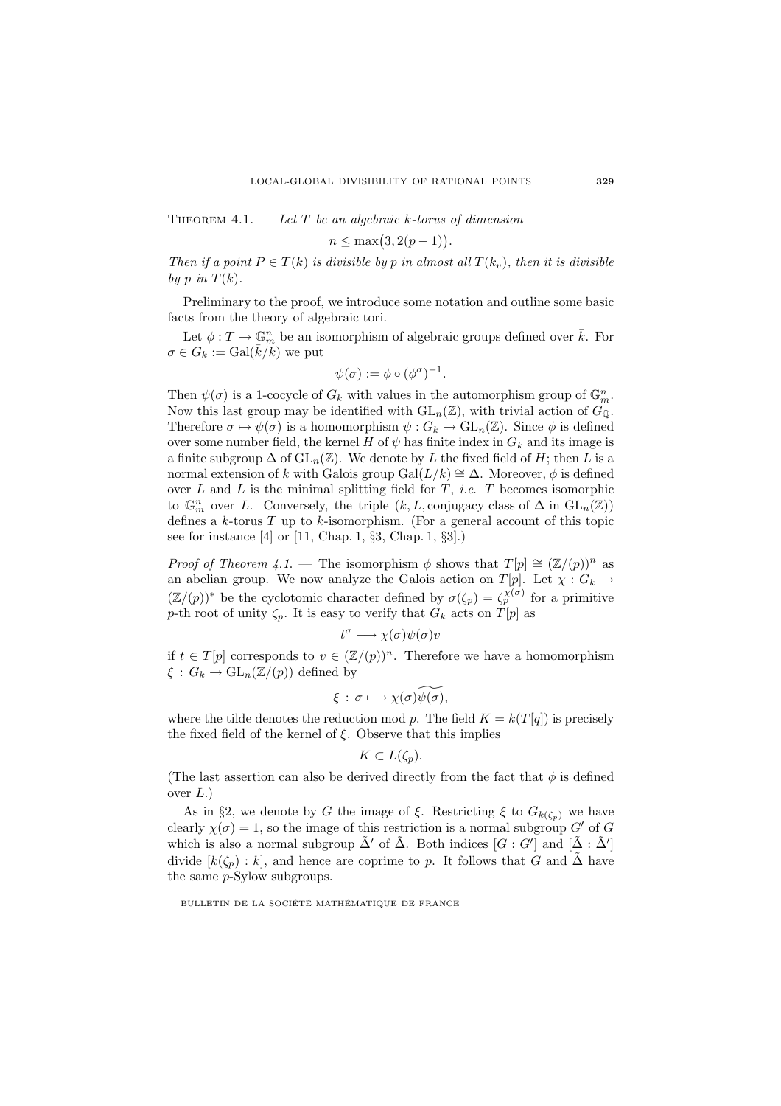THEOREM 4.1.  $-$  Let T be an algebraic k-torus of dimension

$$
n \leq \max(3, 2(p-1)).
$$

Then if a point  $P \in T(k)$  is divisible by p in almost all  $T(k_v)$ , then it is divisible by p in  $T(k)$ .

Preliminary to the proof, we introduce some notation and outline some basic facts from the theory of algebraic tori.

Let  $\phi: T \to \mathbb{G}_m^n$  be an isomorphism of algebraic groups defined over  $\overline{k}$ . For  $\sigma \in G_k := \text{Gal}(\overline{k}/k)$  we put

$$
\psi(\sigma) := \phi \circ (\phi^{\sigma})^{-1}.
$$

Then  $\psi(\sigma)$  is a 1-cocycle of  $G_k$  with values in the automorphism group of  $\mathbb{G}_m^n$ . Now this last group may be identified with  $GL_n(\mathbb{Z})$ , with trivial action of  $G_{\mathbb{Q}}$ . Therefore  $\sigma \mapsto \psi(\sigma)$  is a homomorphism  $\psi: G_k \to \text{GL}_n(\mathbb{Z})$ . Since  $\phi$  is defined over some number field, the kernel H of  $\psi$  has finite index in  $G_k$  and its image is a finite subgroup  $\Delta$  of  $GL_n(\mathbb{Z})$ . We denote by L the fixed field of H; then L is a normal extension of k with Galois group Gal $(L/k) \cong \Delta$ . Moreover,  $\phi$  is defined over L and L is the minimal splitting field for T, *i.e.* T becomes isomorphic to  $\mathbb{G}_m^n$  over L. Conversely, the triple  $(k, L, \text{conjugacy class of } \Delta \text{ in } GL_n(\mathbb{Z}))$ defines a  $k$ -torus  $T$  up to  $k$ -isomorphism. (For a general account of this topic see for instance [4] or [11, Chap. 1, §3, Chap. 1, §3].)

*Proof of Theorem 4.1.* — The isomorphism  $\phi$  shows that  $T[p] \cong (\mathbb{Z}/(p))^n$  as an abelian group. We now analyze the Galois action on  $T[p]$ . Let  $\chi : G_k \to$  $(\mathbb{Z}/(p))^*$  be the cyclotomic character defined by  $\sigma(\zeta_p) = \zeta_p^{\chi(\sigma)}$  for a primitive p-th root of unity  $\zeta_p$ . It is easy to verify that  $G_k$  acts on  $T[p]$  as

$$
t^{\sigma} \longrightarrow \chi(\sigma)\psi(\sigma)v
$$

if  $t \in T[p]$  corresponds to  $v \in (\mathbb{Z}/(p))^n$ . Therefore we have a homomorphism  $\xi: G_k \to \mathrm{GL}_n(\mathbb{Z}/(p))$  defined by

$$
\xi : \sigma \longmapsto \chi(\sigma) \widetilde{\psi(\sigma)},
$$

where the tilde denotes the reduction mod p. The field  $K = k(T[q])$  is precisely the fixed field of the kernel of  $\xi$ . Observe that this implies

$$
K\subset L(\zeta_p).
$$

(The last assertion can also be derived directly from the fact that  $\phi$  is defined over  $L$ .)

As in §2, we denote by G the image of  $\xi$ . Restricting  $\xi$  to  $G_{k(\zeta_p)}$  we have clearly  $\chi(\sigma) = 1$ , so the image of this restriction is a normal subgroup G' of G which is also a normal subgroup  $\tilde{\Delta}'$  of  $\tilde{\Delta}$ . Both indices  $[G:G']$  and  $[\tilde{\Delta}:\tilde{\Delta}']$ divide  $[k(\zeta_p):k]$ , and hence are coprime to p. It follows that G and  $\tilde{\Delta}$  have the same p-Sylow subgroups.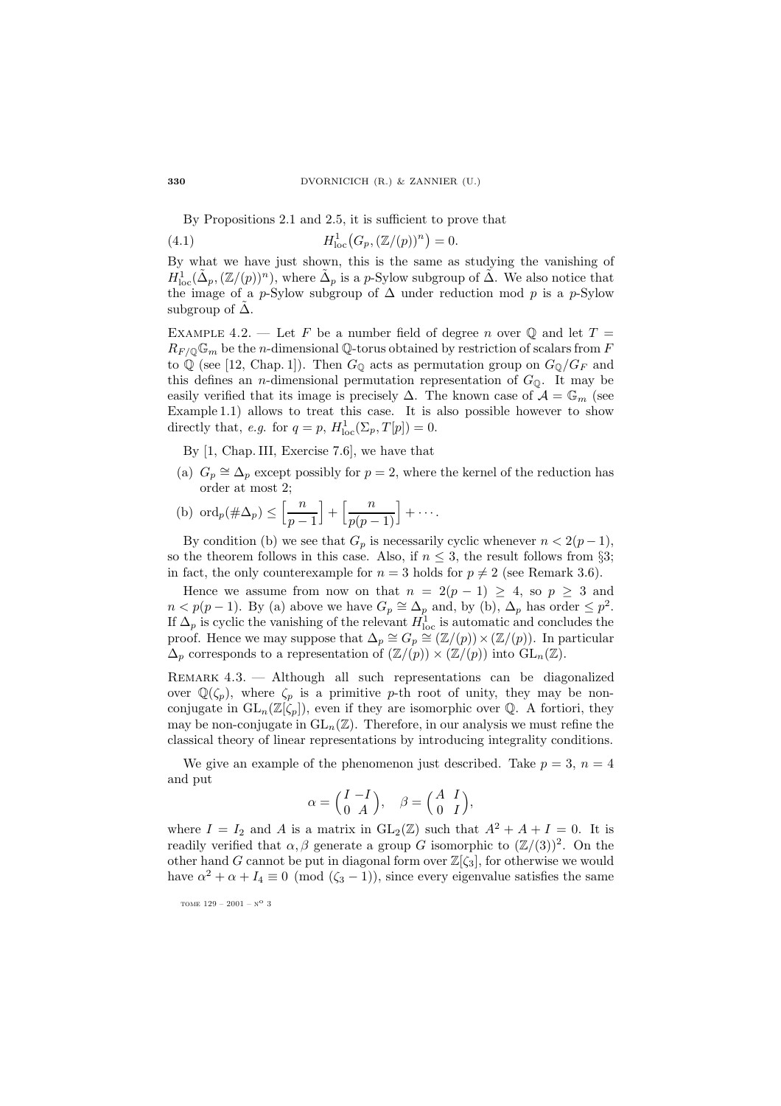By Propositions 2.1 and 2.5, it is sufficient to prove that

(4.1) 
$$
H_{\text{loc}}^1(G_p, (\mathbb{Z}/(p))^n) = 0.
$$

By what we have just shown, this is the same as studying the vanishing of  $H^1_{\text{loc}}(\tilde{\Delta}_p,(\mathbb{Z}/(p))^n)$ , where  $\tilde{\Delta}_p$  is a p-Sylow subgroup of  $\tilde{\Delta}$ . We also notice that the image of a p-Sylow subgroup of  $\Delta$  under reduction mod p is a p-Sylow subgroup of  $\Delta$ .

EXAMPLE 4.2. — Let F be a number field of degree n over  $\mathbb Q$  and let  $T =$  $R_{F/\mathbb{Q}}\mathbb{G}_m$  be the *n*-dimensional Q-torus obtained by restriction of scalars from F to Q (see [12, Chap. 1]). Then  $G_{\mathbb{Q}}$  acts as permutation group on  $G_{\mathbb{Q}}/G_F$  and this defines an *n*-dimensional permutation representation of  $G_0$ . It may be easily verified that its image is precisely  $\Delta$ . The known case of  $\mathcal{A} = \mathbb{G}_m$  (see Example 1.1) allows to treat this case. It is also possible however to show directly that, *e.g.* for  $q = p$ ,  $H_{loc}^1(\Sigma_p, T[p]) = 0$ .

By [1, Chap. III, Exercise 7.6], we have that

(a)  $G_p \cong \Delta_p$  except possibly for  $p = 2$ , where the kernel of the reduction has order at most 2;

(b) 
$$
\operatorname{ord}_p(\#\Delta_p) \le \left[\frac{n}{p-1}\right] + \left[\frac{n}{p(p-1)}\right] + \cdots
$$

By condition (b) we see that  $G_p$  is necessarily cyclic whenever  $n < 2(p-1)$ , so the theorem follows in this case. Also, if  $n \leq 3$ , the result follows from §3; in fact, the only counterexample for  $n = 3$  holds for  $p \neq 2$  (see Remark 3.6).

Hence we assume from now on that  $n = 2(p - 1) \ge 4$ , so  $p \ge 3$  and  $n < p(p-1)$ . By (a) above we have  $G_p \cong \Delta_p$  and, by (b),  $\Delta_p$  has order  $\leq p^2$ . If  $\Delta_p$  is cyclic the vanishing of the relevant  $H_{\text{loc}}^1$  is automatic and concludes the proof. Hence we may suppose that  $\Delta_p \cong G_p \cong (\mathbb{Z}/(p)) \times (\mathbb{Z}/(p))$ . In particular  $\Delta_p$  corresponds to a representation of  $(\mathbb{Z}/(p)) \times (\mathbb{Z}/(p))$  into  $GL_n(\mathbb{Z})$ .

Remark 4.3. — Although all such representations can be diagonalized over  $\mathbb{Q}(\zeta_p)$ , where  $\zeta_p$  is a primitive p-th root of unity, they may be nonconjugate in  $GL_n(\mathbb{Z}[\zeta_p])$ , even if they are isomorphic over  $\mathbb{Q}$ . A fortiori, they may be non-conjugate in  $GL_n(\mathbb{Z})$ . Therefore, in our analysis we must refine the classical theory of linear representations by introducing integrality conditions.

We give an example of the phenomenon just described. Take  $p = 3$ ,  $n = 4$ and put

$$
\alpha = \begin{pmatrix} I & -I \\ 0 & A \end{pmatrix}, \quad \beta = \begin{pmatrix} A & I \\ 0 & I \end{pmatrix},
$$

where  $I = I_2$  and A is a matrix in  $GL_2(\mathbb{Z})$  such that  $A^2 + A + I = 0$ . It is readily verified that  $\alpha, \beta$  generate a group G isomorphic to  $(\mathbb{Z}/(3))^2$ . On the other hand G cannot be put in diagonal form over  $\mathbb{Z}[\zeta_3]$ , for otherwise we would have  $\alpha^2 + \alpha + I_4 \equiv 0 \pmod{(\zeta_3 - 1)}$ , since every eigenvalue satisfies the same

tome  $129 - 2001 - N^{\circ}$  3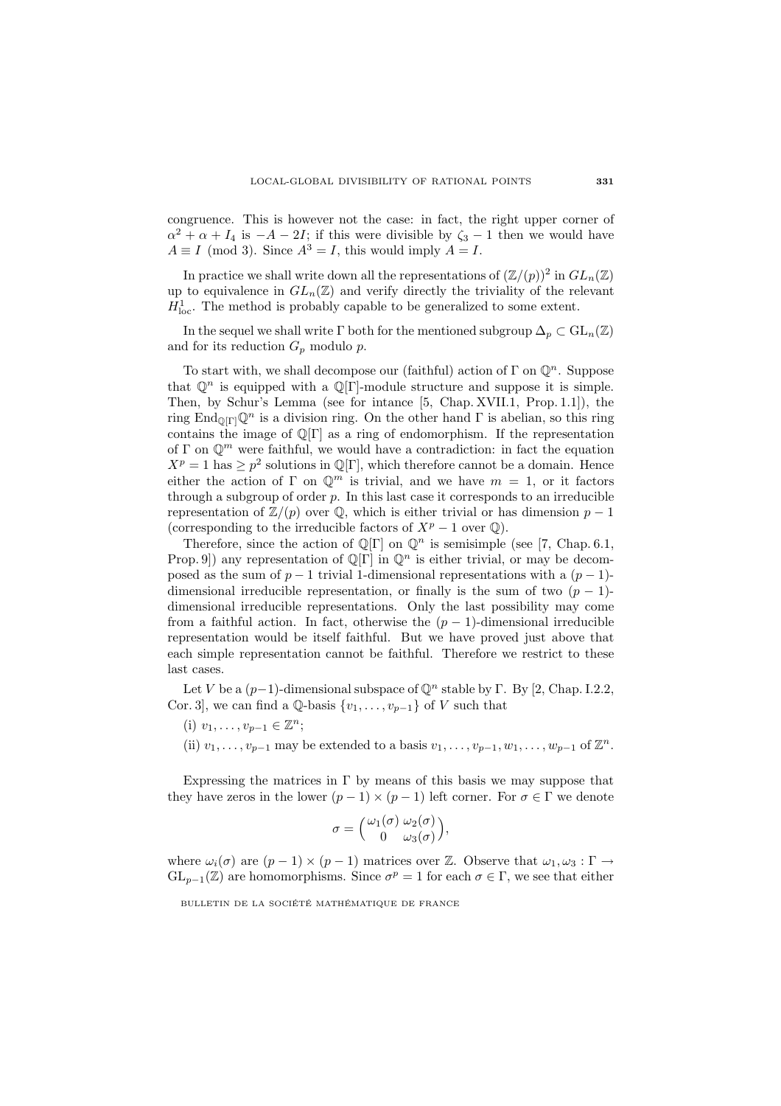congruence. This is however not the case: in fact, the right upper corner of  $\alpha^2 + \alpha + I_4$  is  $-A - 2I$ ; if this were divisible by  $\zeta_3 - 1$  then we would have  $A \equiv I \pmod{3}$ . Since  $A^3 = I$ , this would imply  $A = I$ .

In practice we shall write down all the representations of  $(\mathbb{Z}/(p))^2$  in  $GL_n(\mathbb{Z})$ up to equivalence in  $GL_n(\mathbb{Z})$  and verify directly the triviality of the relevant  $H_{\text{loc}}^1$ . The method is probably capable to be generalized to some extent.

In the sequel we shall write  $\Gamma$  both for the mentioned subgroup  $\Delta_p \subset GL_n(\mathbb{Z})$ and for its reduction  $G_p$  modulo  $p$ .

To start with, we shall decompose our (faithful) action of  $\Gamma$  on  $\mathbb{Q}^n$ . Suppose that  $\mathbb{Q}^n$  is equipped with a  $\mathbb{Q}[\Gamma]$ -module structure and suppose it is simple. Then, by Schur's Lemma (see for intance [5, Chap. XVII.1, Prop. 1.1]), the ring End<sub>Q $[\Gamma]$ </sub> $\mathbb{Q}^n$  is a division ring. On the other hand  $\Gamma$  is abelian, so this ring contains the image of  $\mathbb{Q}[\Gamma]$  as a ring of endomorphism. If the representation of  $\Gamma$  on  $\mathbb{Q}^m$  were faithful, we would have a contradiction: in fact the equation  $X^p = 1$  has  $\geq p^2$  solutions in  $\mathbb{Q}[\Gamma]$ , which therefore cannot be a domain. Hence either the action of Γ on  $\mathbb{Q}^m$  is trivial, and we have  $m = 1$ , or it factors through a subgroup of order  $p$ . In this last case it corresponds to an irreducible representation of  $\mathbb{Z}/(p)$  over  $\mathbb{Q}$ , which is either trivial or has dimension  $p-1$ (corresponding to the irreducible factors of  $X^p - 1$  over  $\mathbb{Q}$ ).

Therefore, since the action of  $\mathbb{Q}[\Gamma]$  on  $\mathbb{Q}^n$  is semisimple (see [7, Chap. 6.1, Prop. 9) any representation of  $\mathbb{Q}[\Gamma]$  in  $\mathbb{Q}^n$  is either trivial, or may be decomposed as the sum of  $p-1$  trivial 1-dimensional representations with a  $(p-1)$ dimensional irreducible representation, or finally is the sum of two  $(p - 1)$ dimensional irreducible representations. Only the last possibility may come from a faithful action. In fact, otherwise the  $(p-1)$ -dimensional irreducible representation would be itself faithful. But we have proved just above that each simple representation cannot be faithful. Therefore we restrict to these last cases.

Let V be a  $(p-1)$ -dimensional subspace of  $\mathbb{Q}^n$  stable by Γ. By [2, Chap. I.2.2, Cor. 3], we can find a  $\mathbb{Q}$ -basis  $\{v_1,\ldots,v_{p-1}\}$  of V such that

- (i)  $v_1, \ldots, v_{p-1} \in \mathbb{Z}^n$ ;
- (ii)  $v_1, \ldots, v_{p-1}$  may be extended to a basis  $v_1, \ldots, v_{p-1}, w_1, \ldots, w_{p-1}$  of  $\mathbb{Z}^n$ .

Expressing the matrices in  $\Gamma$  by means of this basis we may suppose that they have zeros in the lower  $(p-1) \times (p-1)$  left corner. For  $\sigma \in \Gamma$  we denote

$$
\sigma = {\omega_1(\sigma) \omega_2(\sigma) \choose 0 \omega_3(\sigma)},
$$

where  $\omega_i(\sigma)$  are  $(p-1) \times (p-1)$  matrices over Z. Observe that  $\omega_1, \omega_3 : \Gamma \to$  $GL_{p-1}(\mathbb{Z})$  are homomorphisms. Since  $\sigma^p = 1$  for each  $\sigma \in \Gamma$ , we see that either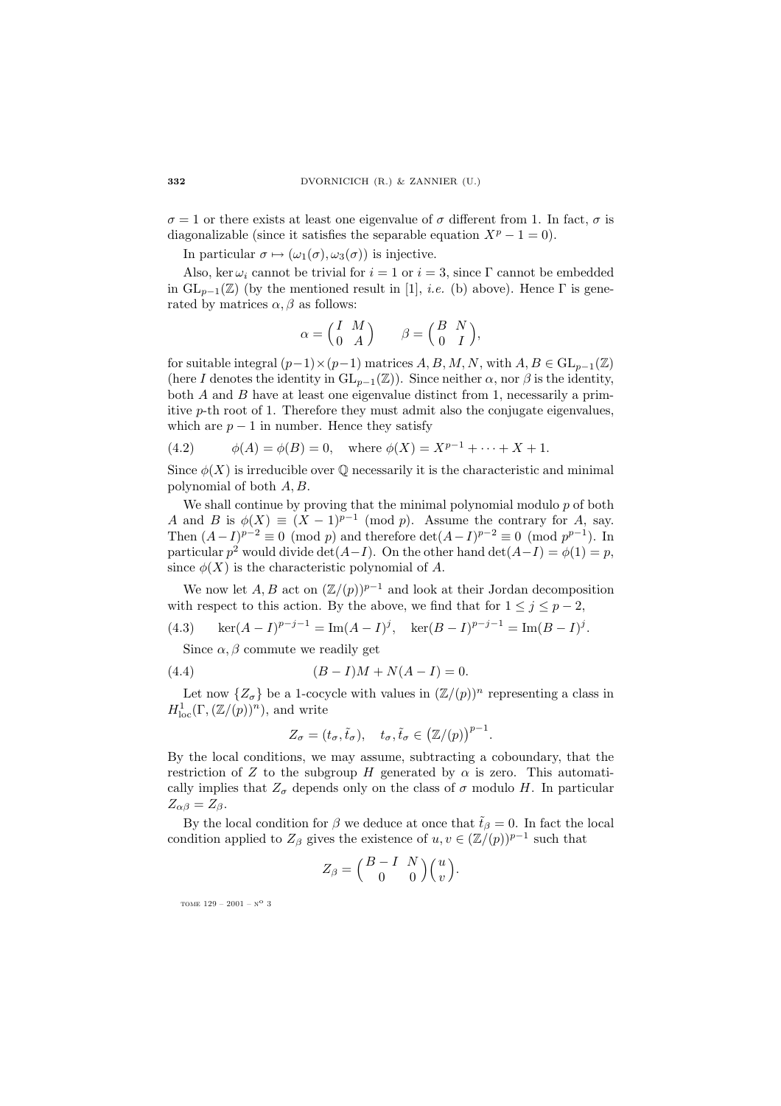$\sigma = 1$  or there exists at least one eigenvalue of  $\sigma$  different from 1. In fact,  $\sigma$  is diagonalizable (since it satisfies the separable equation  $X^p - 1 = 0$ ).

In particular  $\sigma \mapsto (\omega_1(\sigma), \omega_3(\sigma))$  is injective.

Also, ker  $\omega_i$  cannot be trivial for  $i = 1$  or  $i = 3$ , since Γ cannot be embedded in  $GL_{p-1}(\mathbb{Z})$  (by the mentioned result in [1], *i.e.* (b) above). Hence  $\Gamma$  is generated by matrices  $\alpha$ ,  $\beta$  as follows:

$$
\alpha = \begin{pmatrix} I & M \\ 0 & A \end{pmatrix} \qquad \beta = \begin{pmatrix} B & N \\ 0 & I \end{pmatrix},
$$

for suitable integral  $(p-1)\times(p-1)$  matrices A, B, M, N, with  $A, B \in GL_{p-1}(\mathbb{Z})$ (here I denotes the identity in  $GL_{p-1}(\mathbb{Z})$ ). Since neither  $\alpha$ , nor  $\beta$  is the identity, both A and B have at least one eigenvalue distinct from 1, necessarily a primitive p-th root of 1. Therefore they must admit also the conjugate eigenvalues, which are  $p-1$  in number. Hence they satisfy

(4.2) 
$$
\phi(A) = \phi(B) = 0, \text{ where } \phi(X) = X^{p-1} + \dots + X + 1.
$$

Since  $\phi(X)$  is irreducible over  $\mathbb Q$  necessarily it is the characteristic and minimal polynomial of both A, B.

We shall continue by proving that the minimal polynomial modulo  $p$  of both A and B is  $\phi(X) \equiv (X-1)^{p-1}$  (mod p). Assume the contrary for A, say. Then  $(A-I)^{p-2} \equiv 0 \pmod{p}$  and therefore  $\det(A-I)^{p-2} \equiv 0 \pmod{p^{p-1}}$ . In particular  $p^2$  would divide det(A−I). On the other hand det(A−I) =  $\phi(1) = p$ , since  $\phi(X)$  is the characteristic polynomial of A.

We now let  $A, B$  act on  $(\mathbb{Z}/(p))^{p-1}$  and look at their Jordan decomposition with respect to this action. By the above, we find that for  $1 \leq j \leq p-2$ ,

(4.3) 
$$
\ker(A - I)^{p-j-1} = \text{Im}(A - I)^j, \quad \ker(B - I)^{p-j-1} = \text{Im}(B - I)^j.
$$

Since  $\alpha$ ,  $\beta$  commute we readily get

(4.4) 
$$
(B - I)M + N(A - I) = 0.
$$

Let now  $\{Z_{\sigma}\}\$ be a 1-cocycle with values in  $(\mathbb{Z}/(p))^n$  representing a class in  $H^1_{\text{loc}}(\Gamma,(\mathbb{Z}/(p))^n)$ , and write

$$
Z_{\sigma} = (t_{\sigma}, \tilde{t}_{\sigma}), \quad t_{\sigma}, \tilde{t}_{\sigma} \in (\mathbb{Z}/(p))^{p-1}.
$$

By the local conditions, we may assume, subtracting a coboundary, that the restriction of Z to the subgroup H generated by  $\alpha$  is zero. This automatically implies that  $Z_{\sigma}$  depends only on the class of  $\sigma$  modulo H. In particular  $Z_{\alpha\beta}=Z_{\beta}.$ 

By the local condition for  $\beta$  we deduce at once that  $\tilde{t}_{\beta} = 0$ . In fact the local condition applied to  $Z_\beta$  gives the existence of  $u, v \in (\mathbb{Z}/(p))^{p-1}$  such that

$$
Z_{\beta} = \begin{pmatrix} B - I & N \\ 0 & 0 \end{pmatrix} \begin{pmatrix} u \\ v \end{pmatrix}.
$$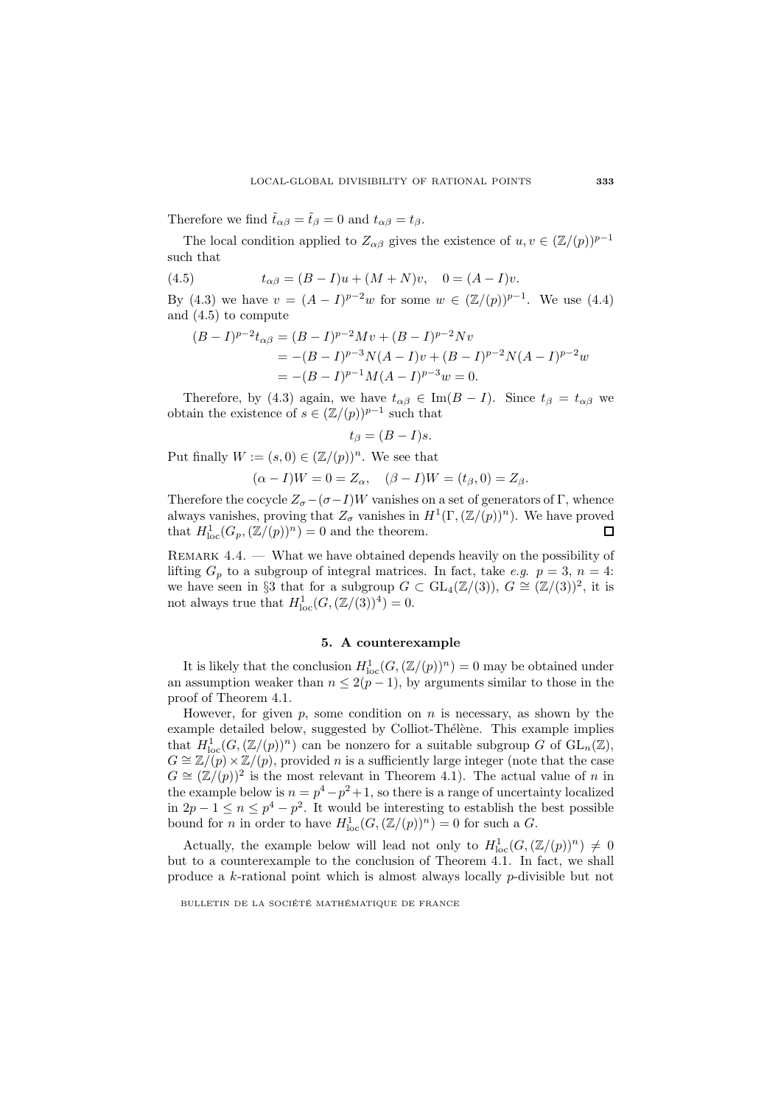Therefore we find  $\tilde{t}_{\alpha\beta} = \tilde{t}_{\beta} = 0$  and  $t_{\alpha\beta} = t_{\beta}$ .

The local condition applied to  $Z_{\alpha\beta}$  gives the existence of  $u, v \in (\mathbb{Z}/(p))^{p-1}$ such that

(4.5) 
$$
t_{\alpha\beta} = (B - I)u + (M + N)v, \quad 0 = (A - I)v.
$$

By (4.3) we have  $v = (A - I)^{p-2}w$  for some  $w \in (\mathbb{Z}/(p))^{p-1}$ . We use (4.4) and (4.5) to compute

$$
(B - I)^{p-2}t_{\alpha\beta} = (B - I)^{p-2}Mv + (B - I)^{p-2}Nv
$$
  
= -(B - I)^{p-3}N(A - I)v + (B - I)^{p-2}N(A - I)^{p-2}w  
= -(B - I)^{p-1}M(A - I)^{p-3}w = 0.

Therefore, by (4.3) again, we have  $t_{\alpha\beta} \in \text{Im}(B - I)$ . Since  $t_{\beta} = t_{\alpha\beta}$  we obtain the existence of  $s \in (\mathbb{Z}/(p))^{p-1}$  such that

$$
t_{\beta} = (B - I)s.
$$

Put finally  $W := (s, 0) \in (\mathbb{Z}/(p))^n$ . We see that

$$
(\alpha - I)W = 0 = Z_{\alpha}, \quad (\beta - I)W = (t_{\beta}, 0) = Z_{\beta}.
$$

Therefore the cocycle  $Z_{\sigma}-(\sigma-I)W$  vanishes on a set of generators of Γ, whence always vanishes, proving that  $Z_{\sigma}$  vanishes in  $H^{1}(\Gamma,(\mathbb{Z}/(p))^{n})$ . We have proved that  $H_{\text{loc}}^1(G_p, (\mathbb{Z}/(p))^n) = 0$  and the theorem.  $\Box$ 

REMARK  $4.4.$  — What we have obtained depends heavily on the possibility of lifting  $G_p$  to a subgroup of integral matrices. In fact, take e.g.  $p = 3$ ,  $n = 4$ : we have seen in §3 that for a subgroup  $G \subset GL_4(\mathbb{Z}/(3)), G \cong (\mathbb{Z}/(3))^2$ , it is not always true that  $H_{\text{loc}}^1(G,(\mathbb{Z}/(3))^4)=0.$ 

## **5. A counterexample**

It is likely that the conclusion  $H^1_{loc}(G, (\mathbb{Z}/(p))^n) = 0$  may be obtained under an assumption weaker than  $n \leq 2(p-1)$ , by arguments similar to those in the proof of Theorem 4.1.

However, for given  $p$ , some condition on  $n$  is necessary, as shown by the example detailed below, suggested by Colliot-Thélène. This example implies that  $H_{\text{loc}}^1(G,(\mathbb{Z}/(p))^n)$  can be nonzero for a suitable subgroup G of  $\text{GL}_n(\mathbb{Z})$ ,  $G \cong \mathbb{Z}/(p) \times \mathbb{Z}/(p)$ , provided n is a sufficiently large integer (note that the case  $G \cong (\mathbb{Z}/(p))^2$  is the most relevant in Theorem 4.1). The actual value of n in the example below is  $n = p^4 - p^2 + 1$ , so there is a range of uncertainty localized in  $2p - 1 \le n \le p^4 - p^2$ . It would be interesting to establish the best possible bound for *n* in order to have  $H_{\text{loc}}^1(G, (\mathbb{Z}/(p))^n) = 0$  for such a *G*.

Actually, the example below will lead not only to  $H^1_{loc}(G, (\mathbb{Z}/(p))^n) \neq 0$ but to a counterexample to the conclusion of Theorem 4.1. In fact, we shall produce a k-rational point which is almost always locally p-divisible but not

BULLETIN DE LA SOCIÉTÉ MATHÉMATIQUE DE FRANCE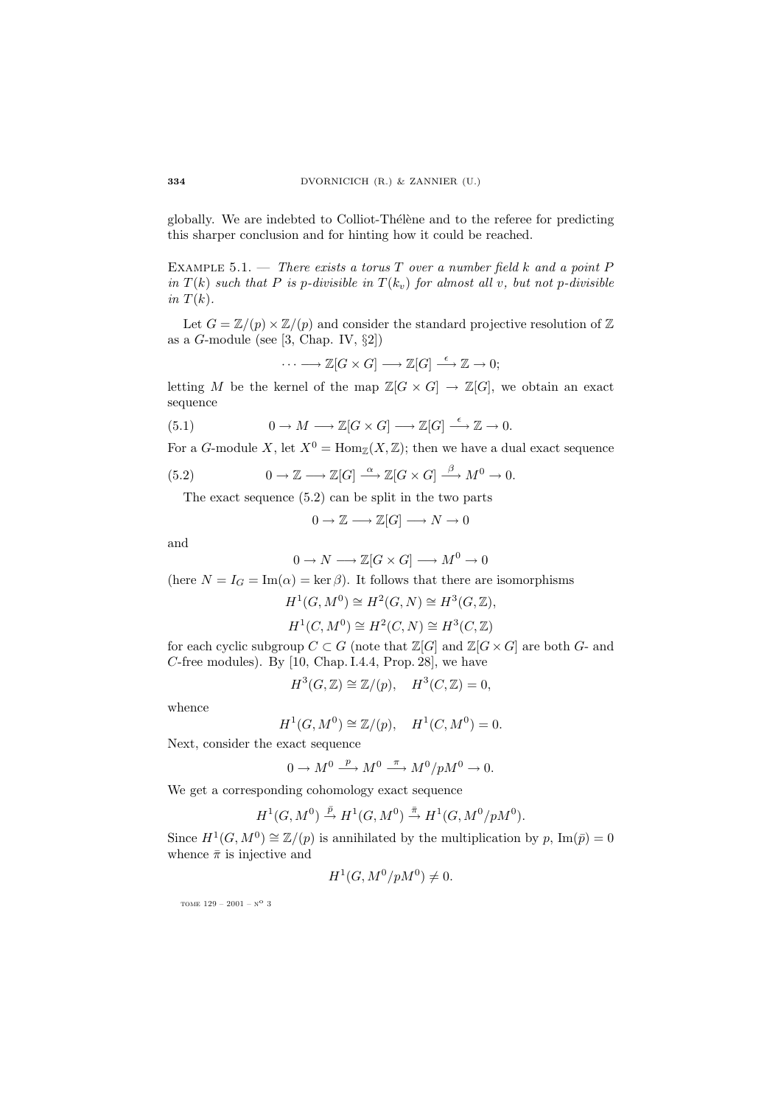globally. We are indebted to Colliot-Thélène and to the referee for predicting this sharper conclusion and for hinting how it could be reached.

EXAMPLE 5.1. — There exists a torus T over a number field k and a point  $P$ in  $T(k)$  such that P is p-divisible in  $T(k_v)$  for almost all v, but not p-divisible in  $T(k)$ .

Let  $G = \mathbb{Z}/(p) \times \mathbb{Z}/(p)$  and consider the standard projective resolution of  $\mathbb{Z}$ as a  $G$ -module (see [3, Chap. IV,  $\S2$ ])

$$
\cdots \longrightarrow \mathbb{Z}[G \times G] \longrightarrow \mathbb{Z}[G] \stackrel{\epsilon}{\longrightarrow} \mathbb{Z} \to 0;
$$

letting M be the kernel of the map  $\mathbb{Z}[G \times G] \to \mathbb{Z}[G]$ , we obtain an exact sequence

(5.1) 
$$
0 \to M \longrightarrow \mathbb{Z}[G \times G] \longrightarrow \mathbb{Z}[G] \stackrel{\epsilon}{\longrightarrow} \mathbb{Z} \to 0.
$$

For a G-module X, let  $X^0 = \text{Hom}_{\mathbb{Z}}(X, \mathbb{Z})$ ; then we have a dual exact sequence

(5.2) 
$$
0 \to \mathbb{Z} \longrightarrow \mathbb{Z}[G] \stackrel{\alpha}{\longrightarrow} \mathbb{Z}[G \times G] \stackrel{\beta}{\longrightarrow} M^0 \to 0.
$$

The exact sequence (5.2) can be split in the two parts

$$
0 \to \mathbb{Z} \longrightarrow \mathbb{Z}[G] \longrightarrow N \to 0
$$

and

$$
0 \to N \longrightarrow \mathbb{Z}[G \times G] \longrightarrow M^0 \to 0
$$

(here  $N = I_G = \text{Im}(\alpha) = \text{ker}(\beta)$ . It follows that there are isomorphisms

$$
H^1(G, M^0) \cong H^2(G, N) \cong H^3(G, \mathbb{Z}),
$$
  

$$
H^1(C, M^0) \cong H^2(C, N) \cong H^3(C, \mathbb{Z})
$$

for each cyclic subgroup  $C \subset G$  (note that  $\mathbb{Z}[G]$  and  $\mathbb{Z}[G \times G]$  are both G- and C-free modules). By  $[10,$  Chap. I.4.4, Prop. 28, we have

$$
H^3(G, \mathbb{Z}) \cong \mathbb{Z}/(p), \quad H^3(C, \mathbb{Z}) = 0,
$$

whence

$$
H^1(G, M^0) \cong \mathbb{Z}/(p), \quad H^1(C, M^0) = 0.
$$

Next, consider the exact sequence

 $0 \to M^0 \stackrel{p}{\longrightarrow} M^0 \stackrel{\pi}{\longrightarrow} M^0/pM^0 \to 0.$ 

We get a corresponding cohomology exact sequence

$$
H^1(G,M^0)\xrightarrow{\bar p} H^1(G,M^0)\xrightarrow{\bar\pi} H^1(G,M^0/pM^0).
$$

Since  $H^1(G, M^0) \cong \mathbb{Z}/(p)$  is annihilated by the multiplication by p, Im( $\bar{p}$ ) = 0 whence  $\bar{\pi}$  is injective and

$$
H^1(G, M^0/pM^0) \neq 0.
$$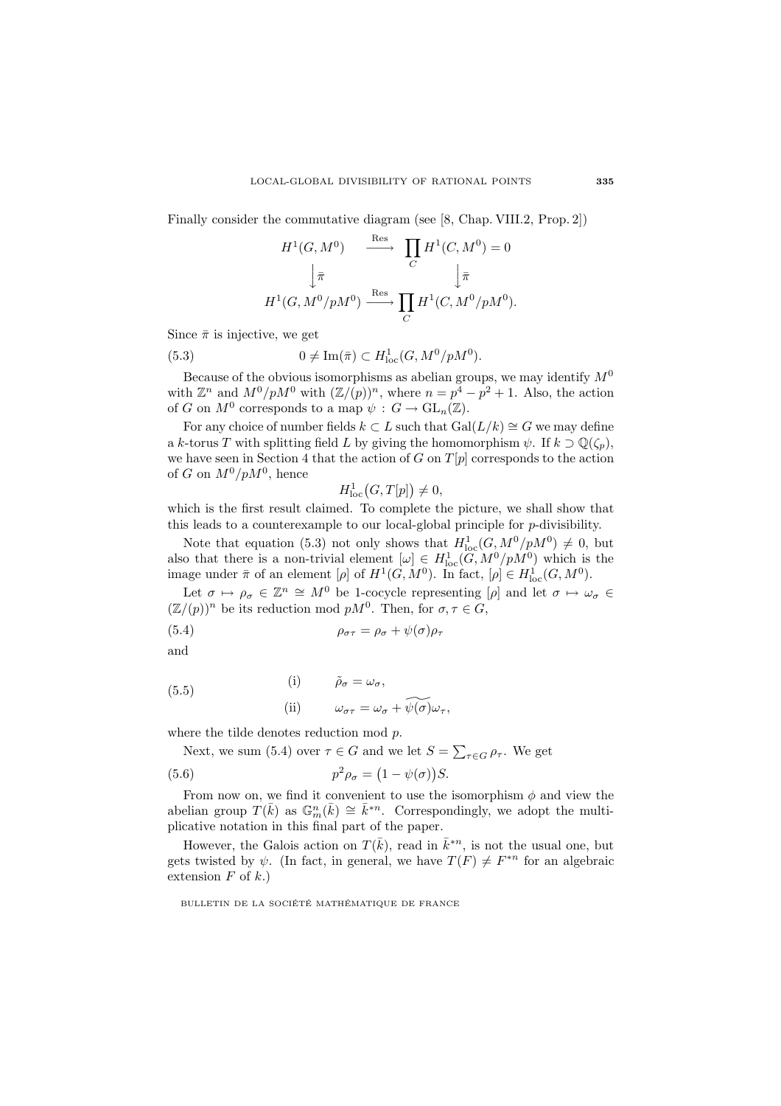Finally consider the commutative diagram (see [8, Chap. VIII.2, Prop. 2])

$$
H^1(G, M^0) \xrightarrow{\text{Res}} \prod_C H^1(C, M^0) = 0
$$

$$
\downarrow \bar{\pi} \qquad \qquad \downarrow \bar{\pi}
$$

$$
H^1(G, M^0/pM^0) \xrightarrow{\text{Res}} \prod_C H^1(C, M^0/pM^0).
$$

Since  $\bar{\pi}$  is injective, we get

(5.3) 
$$
0 \neq \text{Im}(\bar{\pi}) \subset H^1_{\text{loc}}(G, M^0/pM^0).
$$

Because of the obvious isomorphisms as abelian groups, we may identify  $M^0$ with  $\mathbb{Z}^n$  and  $M^0/pM^0$  with  $(\mathbb{Z}/(p))^n$ , where  $n = p^4 - p^2 + 1$ . Also, the action of G on  $M^0$  corresponds to a map  $\psi : G \to \mathrm{GL}_n(\mathbb{Z})$ .

For any choice of number fields  $k \subset L$  such that  $Gal(L/k) \cong G$  we may define a k-torus T with splitting field L by giving the homomorphism  $\psi$ . If  $k \supset \mathbb{Q}(\zeta_p)$ , we have seen in Section 4 that the action of  $G$  on  $T[p]$  corresponds to the action of G on  $M^0/pM^0$ , hence

$$
H_{\mathrm{loc}}^1(G,T[p]) \neq 0,
$$

which is the first result claimed. To complete the picture, we shall show that this leads to a counterexample to our local-global principle for p-divisibility.

Note that equation (5.3) not only shows that  $H_{\text{loc}}^1(G,M^0/pM^0) \neq 0$ , but also that there is a non-trivial element  $[\omega] \in H^1_{loc}(G, M^0/pM^0)$  which is the image under  $\bar{\pi}$  of an element  $[\rho]$  of  $H^1(G, M^0)$ . In fact,  $[\rho] \in H^1_{loc}(G, M^0)$ .

Let  $\sigma \mapsto \rho_{\sigma} \in \mathbb{Z}^n \cong M^0$  be 1-cocycle representing  $[\rho]$  and let  $\sigma \mapsto \omega_{\sigma} \in$  $(\mathbb{Z}/(p))^n$  be its reduction mod  $pM^0$ . Then, for  $\sigma, \tau \in G$ ,

(5.4) 
$$
\rho_{\sigma\tau} = \rho_{\sigma} + \psi(\sigma)\rho_{\tau}
$$

and

(5.5)  
\n(i) 
$$
\tilde{\rho}_{\sigma} = \omega_{\sigma},
$$
  
\n(ii)  $\omega_{\sigma\tau} = \omega_{\sigma} + \widetilde{\psi(\sigma)}\omega_{\tau},$ 

where the tilde denotes reduction mod p.

Next, we sum (5.4) over  $\tau \in G$  and we let  $S = \sum_{\tau \in G} \rho_{\tau}$ . We get

(5.6) 
$$
p^2 \rho_\sigma = (1 - \psi(\sigma)) S.
$$

From now on, we find it convenient to use the isomorphism  $\phi$  and view the abelian group  $T(\bar{k})$  as  $\mathbb{G}_m^n(\bar{k}) \cong \bar{k}^{*n}$ . Correspondingly, we adopt the multiplicative notation in this final part of the paper.

However, the Galois action on  $T(\bar{k})$ , read in  $\bar{k}^{\ast n}$ , is not the usual one, but gets twisted by  $\psi$ . (In fact, in general, we have  $T(F) \neq F^{*n}$  for an algebraic extension  $F$  of  $k$ .)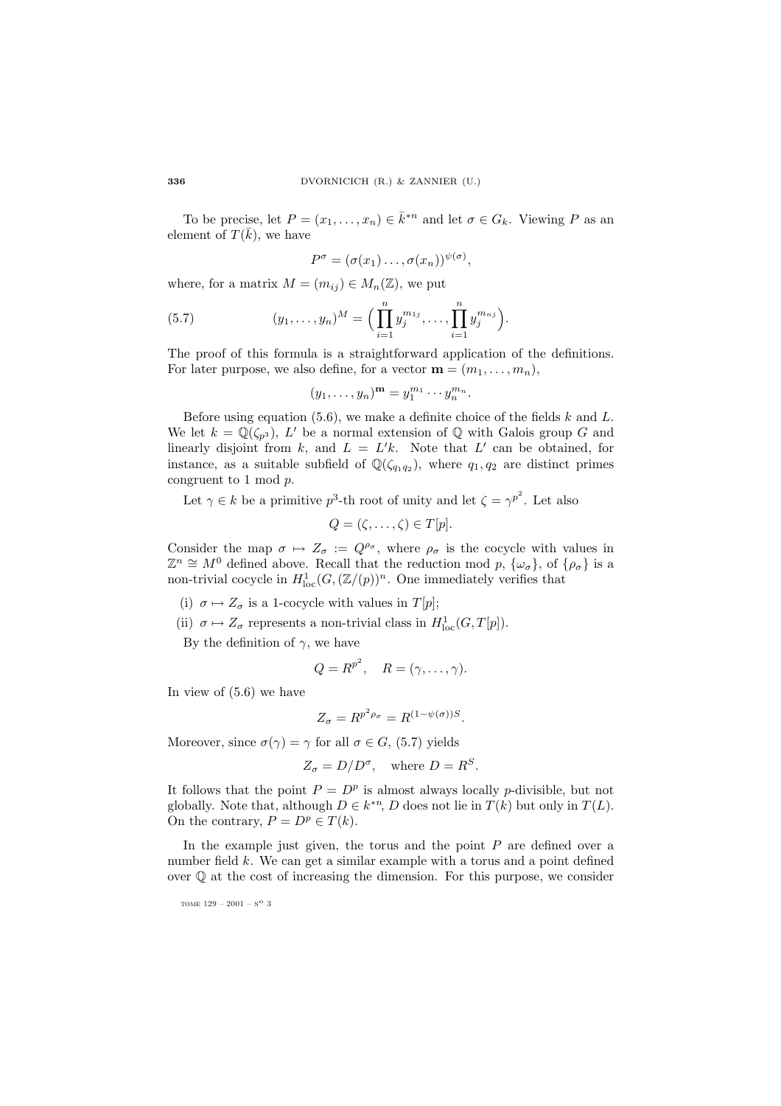To be precise, let  $P = (x_1, \ldots, x_n) \in \overline{k}^{*n}$  and let  $\sigma \in G_k$ . Viewing P as an element of  $T(\bar{k})$ , we have

$$
P^{\sigma} = (\sigma(x_1) \ldots, \sigma(x_n))^{\psi(\sigma)},
$$

where, for a matrix  $M = (m_{ij}) \in M_n(\mathbb{Z})$ , we put

(5.7) 
$$
(y_1, \ldots, y_n)^M = \Big( \prod_{i=1}^n y_j^{m_{1j}}, \ldots, \prod_{i=1}^n y_j^{m_{nj}} \Big).
$$

The proof of this formula is a straightforward application of the definitions. For later purpose, we also define, for a vector  $\mathbf{m} = (m_1, \ldots, m_n)$ ,

$$
(y_1,\ldots,y_n)^m=y_1^{m_1}\cdots y_n^{m_n}.
$$

Before using equation  $(5.6)$ , we make a definite choice of the fields k and L. We let  $k = \mathbb{Q}(\zeta_{p^3})$ , L' be a normal extension of  $\mathbb{Q}$  with Galois group G and linearly disjoint from k, and  $L = L'k$ . Note that L' can be obtained, for instance, as a suitable subfield of  $\mathbb{Q}(\zeta_{q_1q_2})$ , where  $q_1, q_2$  are distinct primes congruent to 1 mod p.

Let  $\gamma \in k$  be a primitive  $p^3$ -th root of unity and let  $\zeta = \gamma^{p^2}$ . Let also

$$
Q = (\zeta, \ldots, \zeta) \in T[p].
$$

Consider the map  $\sigma \mapsto Z_{\sigma} := Q^{\rho_{\sigma}}$ , where  $\rho_{\sigma}$  is the cocycle with values in  $\mathbb{Z}^n \cong M^0$  defined above. Recall that the reduction mod p,  $\{\omega_{\sigma}\}\$ , of  $\{\rho_{\sigma}\}\$  is a non-trivial cocycle in  $H^1_{loc}(G,(\mathbb{Z}/(p))^n)$ . One immediately verifies that

- (i)  $\sigma \mapsto Z_{\sigma}$  is a 1-cocycle with values in  $T[p]$ ;
- (ii)  $\sigma \mapsto Z_{\sigma}$  represents a non-trivial class in  $H_{\text{loc}}^1(G, T[p])$ .

By the definition of  $\gamma$ , we have

$$
Q = R^{p^2}, \quad R = (\gamma, \dots, \gamma).
$$

In view of (5.6) we have

$$
Z_{\sigma} = R^{p^2 \rho_{\sigma}} = R^{(1 - \psi(\sigma))S}.
$$

Moreover, since  $\sigma(\gamma) = \gamma$  for all  $\sigma \in G$ , (5.7) yields

$$
Z_{\sigma} = D/D^{\sigma}
$$
, where  $D = R^{S}$ .

It follows that the point  $P = D^p$  is almost always locally p-divisible, but not globally. Note that, although  $D \in k^{*n}$ , D does not lie in  $T(k)$  but only in  $T(L)$ . On the contrary,  $P = D^p \in T(k)$ .

In the example just given, the torus and the point  $P$  are defined over a number field k. We can get a similar example with a torus and a point defined over  $\mathbb Q$  at the cost of increasing the dimension. For this purpose, we consider

tome  $129 - 2001 - N^{\circ}$  3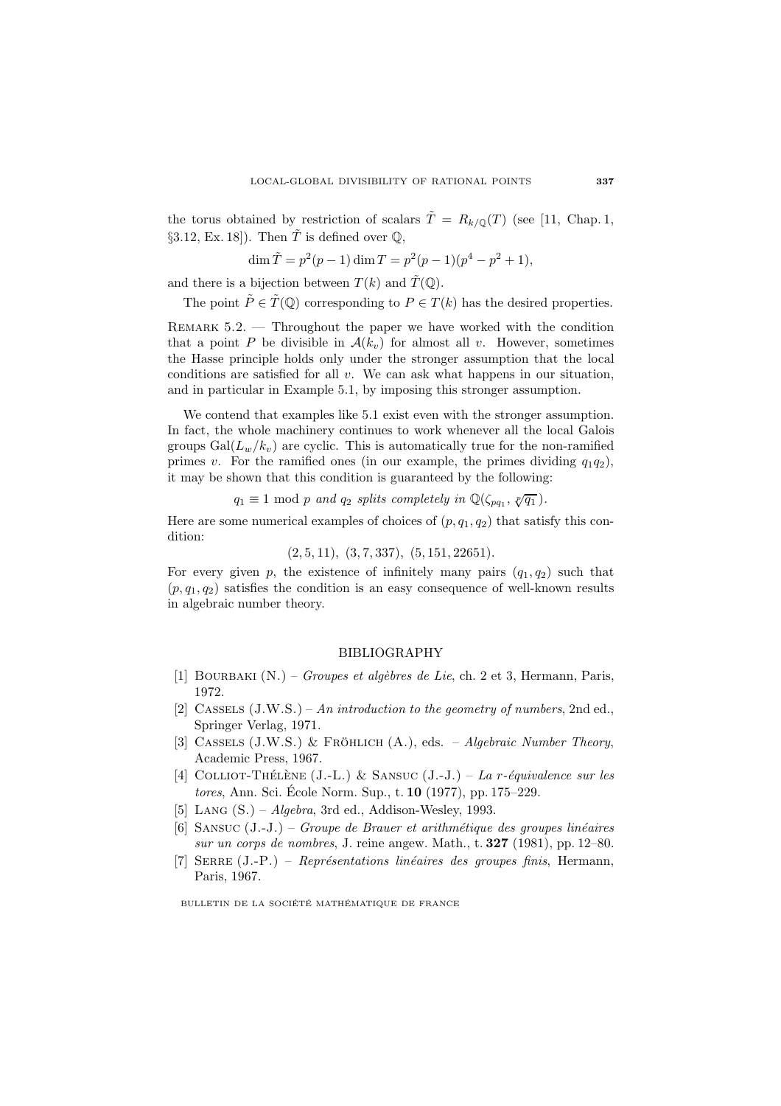the torus obtained by restriction of scalars  $\tilde{T} = R_{k/\mathbb{Q}}(T)$  (see [11, Chap. 1, §3.12, Ex. 18]). Then  $\tilde{T}$  is defined over  $\mathbb{Q}$ ,

$$
\dim \tilde{T} = p^2(p-1)\dim T = p^2(p-1)(p^4 - p^2 + 1),
$$

and there is a bijection between  $T(k)$  and  $\tilde{T}(\mathbb{Q})$ .

The point  $\tilde{P} \in \tilde{T}(\mathbb{Q})$  corresponding to  $P \in T(k)$  has the desired properties.

Remark 5.2. — Throughout the paper we have worked with the condition that a point P be divisible in  $\mathcal{A}(k_v)$  for almost all v. However, sometimes the Hasse principle holds only under the stronger assumption that the local conditions are satisfied for all  $v$ . We can ask what happens in our situation, and in particular in Example 5.1, by imposing this stronger assumption.

We contend that examples like 5.1 exist even with the stronger assumption. In fact, the whole machinery continues to work whenever all the local Galois groups  $Gal(L_w/k_v)$  are cyclic. This is automatically true for the non-ramified primes v. For the ramified ones (in our example, the primes dividing  $q_1q_2$ ), it may be shown that this condition is guaranteed by the following:

$$
q_1 \equiv 1 \mod p
$$
 and  $q_2$  splits completely in  $\mathbb{Q}(\zeta_{pq_1}, \sqrt[p]{q_1}).$ 

Here are some numerical examples of choices of  $(p, q_1, q_2)$  that satisfy this condition:

$$
(2, 5, 11), (3, 7, 337), (5, 151, 22651).
$$

For every given p, the existence of infinitely many pairs  $(q_1, q_2)$  such that  $(p, q_1, q_2)$  satisfies the condition is an easy consequence of well-known results in algebraic number theory.

## BIBLIOGRAPHY

- [1] BOURBAKI  $(N.)$  *Groupes et algèbres de Lie*, ch. 2 et 3, Hermann, Paris, 1972.
- [2] CASSELS  $(J.W.S.) An introduction to the geometry of numbers, 2nd ed.,$ Springer Verlag, 1971.
- [3] CASSELS (J.W.S.) & FRÖHLICH  $(A_{\cdot})$ , eds. Algebraic Number Theory, Academic Press, 1967.
- [4] COLLIOT-THÉLÈNE (J.-L.) & SANSUC (J.-J.) La r-équivalence sur les tores, Ann. Sci. École Norm. Sup., t. **10** (1977), pp. 175–229.
- [5] LANG  $(S.) Algebra$ , 3rd ed., Addison-Wesley, 1993.
- $[6]$  SANSUC  $(J.-J.)$  *Groupe de Brauer et arithmétique des groupes linéaires* sur un corps de nombres, J. reine angew. Math., t. **327** (1981), pp. 12–80.
- [7] SERRE  $(J.-P.)$  Représentations linéaires des groupes finis, Hermann, Paris, 1967.